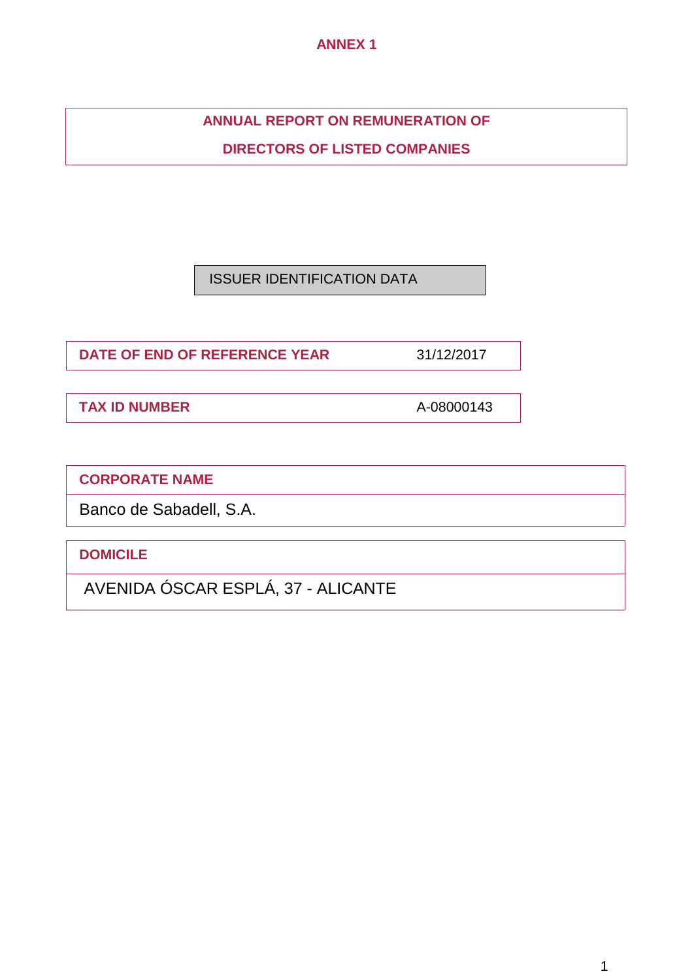# **ANNEX 1**

# **ANNUAL REPORT ON REMUNERATION OF**

**DIRECTORS OF LISTED COMPANIES**

ISSUER IDENTIFICATION DATA

**DATE OF END OF REFERENCE YEAR** 31/12/2017

**TAX ID NUMBER** A-08000143

**CORPORATE NAME**

Banco de Sabadell, S.A.

**DOMICILE**

AVENIDA ÓSCAR ESPLÁ, 37 - ALICANTE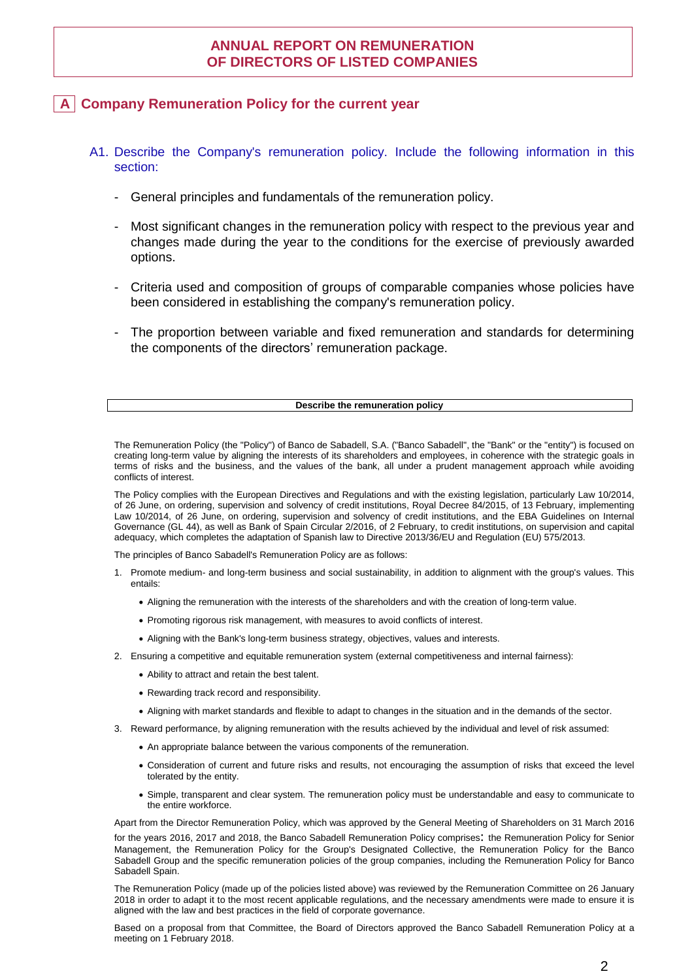# **ANNUAL REPORT ON REMUNERATION OF DIRECTORS OF LISTED COMPANIES**

## **A Company Remuneration Policy for the current year**

- A1. Describe the Company's remuneration policy. Include the following information in this section:
	- General principles and fundamentals of the remuneration policy.
	- Most significant changes in the remuneration policy with respect to the previous year and changes made during the year to the conditions for the exercise of previously awarded options.
	- Criteria used and composition of groups of comparable companies whose policies have been considered in establishing the company's remuneration policy.
	- The proportion between variable and fixed remuneration and standards for determining the components of the directors' remuneration package.

#### **Describe the remuneration policy**

The Remuneration Policy (the "Policy") of Banco de Sabadell, S.A. ("Banco Sabadell", the "Bank" or the "entity") is focused on creating long-term value by aligning the interests of its shareholders and employees, in coherence with the strategic goals in terms of risks and the business, and the values of the bank, all under a prudent management approach while avoiding conflicts of interest.

The Policy complies with the European Directives and Regulations and with the existing legislation, particularly Law 10/2014, of 26 June, on ordering, supervision and solvency of credit institutions, Royal Decree 84/2015, of 13 February, implementing Law 10/2014, of 26 June, on ordering, supervision and solvency of credit institutions, and the EBA Guidelines on Internal Governance (GL 44), as well as Bank of Spain Circular 2/2016, of 2 February, to credit institutions, on supervision and capital adequacy, which completes the adaptation of Spanish law to Directive 2013/36/EU and Regulation (EU) 575/2013.

The principles of Banco Sabadell's Remuneration Policy are as follows:

- 1. Promote medium- and long-term business and social sustainability, in addition to alignment with the group's values. This entails:
	- Aligning the remuneration with the interests of the shareholders and with the creation of long-term value.
	- Promoting rigorous risk management, with measures to avoid conflicts of interest.
	- Aligning with the Bank's long-term business strategy, objectives, values and interests.
- 2. Ensuring a competitive and equitable remuneration system (external competitiveness and internal fairness):
	- Ability to attract and retain the best talent.
	- Rewarding track record and responsibility.
	- Aligning with market standards and flexible to adapt to changes in the situation and in the demands of the sector.
- 3. Reward performance, by aligning remuneration with the results achieved by the individual and level of risk assumed:
	- An appropriate balance between the various components of the remuneration.
	- Consideration of current and future risks and results, not encouraging the assumption of risks that exceed the level tolerated by the entity.
	- Simple, transparent and clear system. The remuneration policy must be understandable and easy to communicate to the entire workforce.

Apart from the Director Remuneration Policy, which was approved by the General Meeting of Shareholders on 31 March 2016 for the years 2016, <sup>2017</sup> and 2018, the Banco Sabadell Remuneration Policy comprises: the Remuneration Policy for Senior Management, the Remuneration Policy for the Group's Designated Collective, the Remuneration Policy for the Banco Sabadell Group and the specific remuneration policies of the group companies, including the Remuneration Policy for Banco Sabadell Spain.

The Remuneration Policy (made up of the policies listed above) was reviewed by the Remuneration Committee on 26 January 2018 in order to adapt it to the most recent applicable regulations, and the necessary amendments were made to ensure it is aligned with the law and best practices in the field of corporate governance.

Based on a proposal from that Committee, the Board of Directors approved the Banco Sabadell Remuneration Policy at a meeting on 1 February 2018.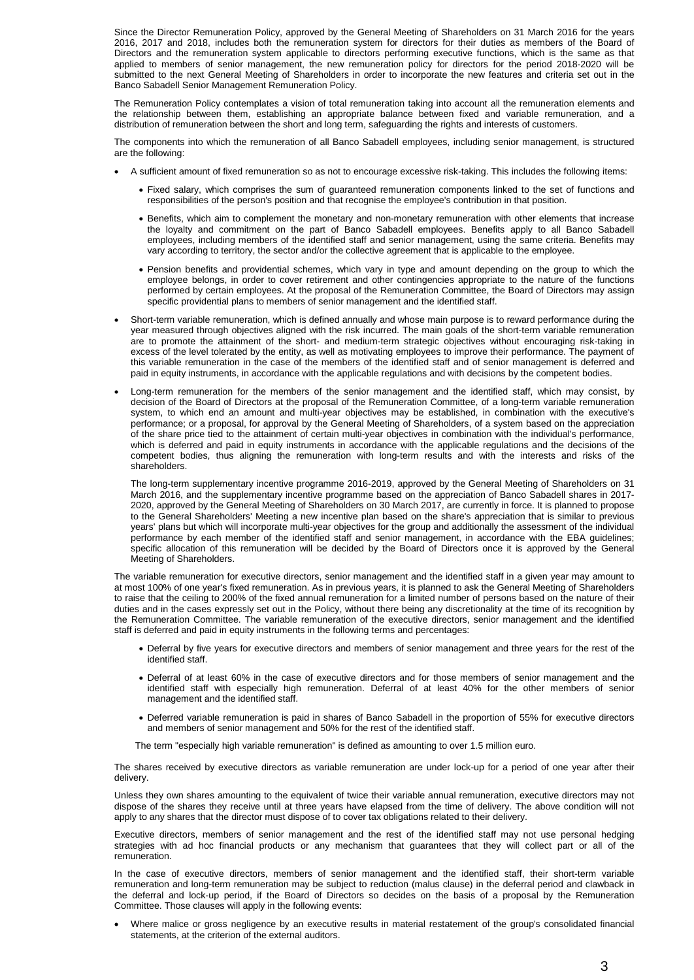Since the Director Remuneration Policy, approved by the General Meeting of Shareholders on 31 March 2016 for the years 2016, 2017 and 2018, includes both the remuneration system for directors for their duties as members of the Board of Directors and the remuneration system applicable to directors performing executive functions, which is the same as that applied to members of senior management, the new remuneration policy for directors for the period 2018-2020 will be submitted to the next General Meeting of Shareholders in order to incorporate the new features and criteria set out in the Banco Sabadell Senior Management Remuneration Policy.

The Remuneration Policy contemplates a vision of total remuneration taking into account all the remuneration elements and the relationship between them, establishing an appropriate balance between fixed and variable remuneration, and a distribution of remuneration between the short and long term, safeguarding the rights and interests of customers.

The components into which the remuneration of all Banco Sabadell employees, including senior management, is structured are the following:

- A sufficient amount of fixed remuneration so as not to encourage excessive risk-taking. This includes the following items:
	- Fixed salary, which comprises the sum of guaranteed remuneration components linked to the set of functions and responsibilities of the person's position and that recognise the employee's contribution in that position.
	- Benefits, which aim to complement the monetary and non-monetary remuneration with other elements that increase the loyalty and commitment on the part of Banco Sabadell employees. Benefits apply to all Banco Sabadell employees, including members of the identified staff and senior management, using the same criteria. Benefits may vary according to territory, the sector and/or the collective agreement that is applicable to the employee.
	- Pension benefits and providential schemes, which vary in type and amount depending on the group to which the employee belongs, in order to cover retirement and other contingencies appropriate to the nature of the functions performed by certain employees. At the proposal of the Remuneration Committee, the Board of Directors may assign specific providential plans to members of senior management and the identified staff.
- Short-term variable remuneration, which is defined annually and whose main purpose is to reward performance during the year measured through objectives aligned with the risk incurred. The main goals of the short-term variable remuneration are to promote the attainment of the short- and medium-term strategic objectives without encouraging risk-taking in excess of the level tolerated by the entity, as well as motivating employees to improve their performance. The payment of this variable remuneration in the case of the members of the identified staff and of senior management is deferred and paid in equity instruments, in accordance with the applicable regulations and with decisions by the competent bodies.
- Long-term remuneration for the members of the senior management and the identified staff, which may consist, by decision of the Board of Directors at the proposal of the Remuneration Committee, of a long-term variable remuneration system, to which end an amount and multi-year objectives may be established, in combination with the executive's performance; or a proposal, for approval by the General Meeting of Shareholders, of a system based on the appreciation of the share price tied to the attainment of certain multi-year objectives in combination with the individual's performance, which is deferred and paid in equity instruments in accordance with the applicable regulations and the decisions of the competent bodies, thus aligning the remuneration with long-term results and with the interests and risks of the shareholders.

The long-term supplementary incentive programme 2016-2019, approved by the General Meeting of Shareholders on 31 March 2016, and the supplementary incentive programme based on the appreciation of Banco Sabadell shares in 2017- 2020, approved by the General Meeting of Shareholders on 30 March 2017, are currently in force. It is planned to propose to the General Shareholders' Meeting a new incentive plan based on the share's appreciation that is similar to previous years' plans but which will incorporate multi-year objectives for the group and additionally the assessment of the individual performance by each member of the identified staff and senior management, in accordance with the EBA guidelines; specific allocation of this remuneration will be decided by the Board of Directors once it is approved by the General Meeting of Shareholders.

The variable remuneration for executive directors, senior management and the identified staff in a given year may amount to at most 100% of one year's fixed remuneration. As in previous years, it is planned to ask the General Meeting of Shareholders to raise that the ceiling to 200% of the fixed annual remuneration for a limited number of persons based on the nature of their duties and in the cases expressly set out in the Policy, without there being any discretionality at the time of its recognition by the Remuneration Committee. The variable remuneration of the executive directors, senior management and the identified staff is deferred and paid in equity instruments in the following terms and percentages:

- Deferral by five years for executive directors and members of senior management and three years for the rest of the identified staff.
- Deferral of at least 60% in the case of executive directors and for those members of senior management and the identified staff with especially high remuneration. Deferral of at least 40% for the other members of senior management and the identified staff.
- Deferred variable remuneration is paid in shares of Banco Sabadell in the proportion of 55% for executive directors and members of senior management and 50% for the rest of the identified staff.

The term "especially high variable remuneration" is defined as amounting to over 1.5 million euro.

The shares received by executive directors as variable remuneration are under lock-up for a period of one year after their delivery.

Unless they own shares amounting to the equivalent of twice their variable annual remuneration, executive directors may not dispose of the shares they receive until at three years have elapsed from the time of delivery. The above condition will not apply to any shares that the director must dispose of to cover tax obligations related to their delivery.

Executive directors, members of senior management and the rest of the identified staff may not use personal hedging strategies with ad hoc financial products or any mechanism that guarantees that they will collect part or all of the remuneration.

In the case of executive directors, members of senior management and the identified staff, their short-term variable remuneration and long-term remuneration may be subject to reduction (malus clause) in the deferral period and clawback in the deferral and lock-up period, if the Board of Directors so decides on the basis of a proposal by the Remuneration Committee. Those clauses will apply in the following events:

 Where malice or gross negligence by an executive results in material restatement of the group's consolidated financial statements, at the criterion of the external auditors.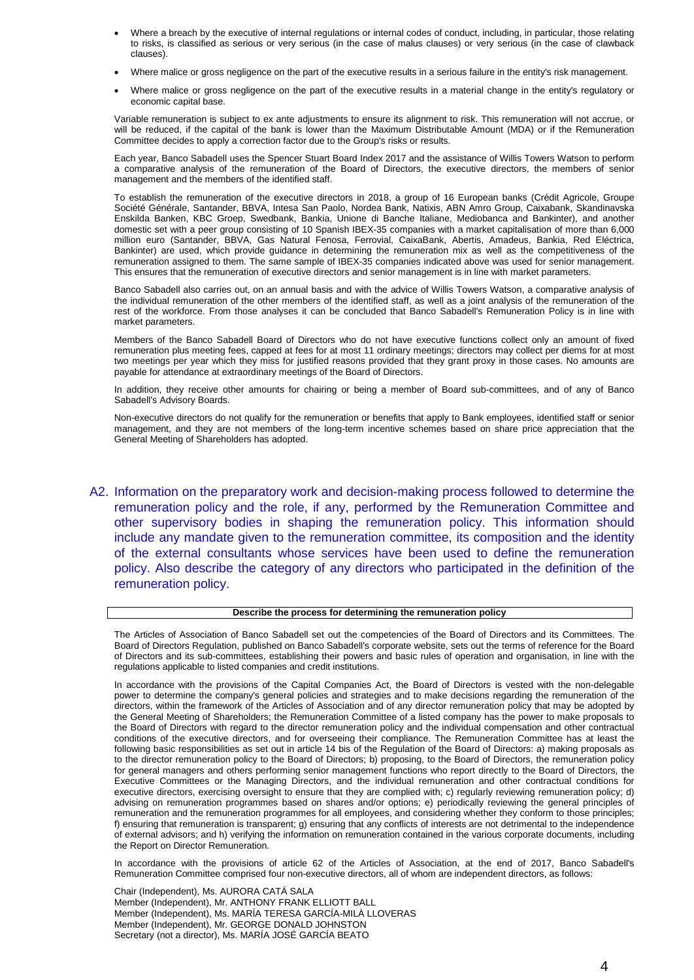- Where a breach by the executive of internal regulations or internal codes of conduct, including, in particular, those relating to risks, is classified as serious or very serious (in the case of malus clauses) or very serious (in the case of clawback clauses).
- Where malice or gross negligence on the part of the executive results in a serious failure in the entity's risk management.
- Where malice or gross negligence on the part of the executive results in a material change in the entity's regulatory or economic capital base.

Variable remuneration is subject to ex ante adjustments to ensure its alignment to risk. This remuneration will not accrue, or will be reduced, if the capital of the bank is lower than the Maximum Distributable Amount (MDA) or if the Remuneration Committee decides to apply a correction factor due to the Group's risks or results.

Each year, Banco Sabadell uses the Spencer Stuart Board Index 2017 and the assistance of Willis Towers Watson to perform a comparative analysis of the remuneration of the Board of Directors, the executive directors, the members of senior management and the members of the identified staff.

To establish the remuneration of the executive directors in 2018, a group of 16 European banks (Crédit Agricole, Groupe Société Générale, Santander, BBVA, Intesa San Paolo, Nordea Bank, Natixis, ABN Amro Group, Caixabank, Skandinavska Enskilda Banken, KBC Groep, Swedbank, Bankia, Unione di Banche Italiane, Mediobanca and Bankinter), and another domestic set with a peer group consisting of 10 Spanish IBEX-35 companies with a market capitalisation of more than 6,000 million euro (Santander, BBVA, Gas Natural Fenosa, Ferrovial, CaixaBank, Abertis, Amadeus, Bankia, Red Eléctrica, Bankinter) are used, which provide guidance in determining the remuneration mix as well as the competitiveness of the remuneration assigned to them. The same sample of IBEX-35 companies indicated above was used for senior management. This ensures that the remuneration of executive directors and senior management is in line with market parameters.

Banco Sabadell also carries out, on an annual basis and with the advice of Willis Towers Watson, a comparative analysis of the individual remuneration of the other members of the identified staff, as well as a joint analysis of the remuneration of the rest of the workforce. From those analyses it can be concluded that Banco Sabadell's Remuneration Policy is in line with market parameters.

Members of the Banco Sabadell Board of Directors who do not have executive functions collect only an amount of fixed remuneration plus meeting fees, capped at fees for at most 11 ordinary meetings; directors may collect per diems for at most two meetings per year which they miss for justified reasons provided that they grant proxy in those cases. No amounts are payable for attendance at extraordinary meetings of the Board of Directors.

In addition, they receive other amounts for chairing or being a member of Board sub-committees, and of any of Banco Sabadell's Advisory Boards.

Non-executive directors do not qualify for the remuneration or benefits that apply to Bank employees, identified staff or senior management, and they are not members of the long-term incentive schemes based on share price appreciation that the General Meeting of Shareholders has adopted.

A2. Information on the preparatory work and decision-making process followed to determine the remuneration policy and the role, if any, performed by the Remuneration Committee and other supervisory bodies in shaping the remuneration policy. This information should include any mandate given to the remuneration committee, its composition and the identity of the external consultants whose services have been used to define the remuneration policy. Also describe the category of any directors who participated in the definition of the remuneration policy.

#### **Describe the process for determining the remuneration policy**

The Articles of Association of Banco Sabadell set out the competencies of the Board of Directors and its Committees. The Board of Directors Regulation, published on Banco Sabadell's corporate website, sets out the terms of reference for the Board of Directors and its sub-committees, establishing their powers and basic rules of operation and organisation, in line with the regulations applicable to listed companies and credit institutions.

In accordance with the provisions of the Capital Companies Act, the Board of Directors is vested with the non-delegable power to determine the company's general policies and strategies and to make decisions regarding the remuneration of the directors, within the framework of the Articles of Association and of any director remuneration policy that may be adopted by the General Meeting of Shareholders; the Remuneration Committee of a listed company has the power to make proposals to the Board of Directors with regard to the director remuneration policy and the individual compensation and other contractual conditions of the executive directors, and for overseeing their compliance. The Remuneration Committee has at least the following basic responsibilities as set out in article 14 bis of the Regulation of the Board of Directors: a) making proposals as to the director remuneration policy to the Board of Directors; b) proposing, to the Board of Directors, the remuneration policy for general managers and others performing senior management functions who report directly to the Board of Directors, the Executive Committees or the Managing Directors, and the individual remuneration and other contractual conditions for executive directors, exercising oversight to ensure that they are complied with; c) regularly reviewing remuneration policy; d) advising on remuneration programmes based on shares and/or options; e) periodically reviewing the general principles of remuneration and the remuneration programmes for all employees, and considering whether they conform to those principles; f) ensuring that remuneration is transparent; g) ensuring that any conflicts of interests are not detrimental to the independence of external advisors; and h) verifying the information on remuneration contained in the various corporate documents, including the Report on Director Remuneration.

In accordance with the provisions of article 62 of the Articles of Association, at the end of 2017, Banco Sabadell's Remuneration Committee comprised four non-executive directors, all of whom are independent directors, as follows:

Chair (Independent), Ms. AURORA CATÁ SALA Member (Independent), Mr. ANTHONY FRANK ELLIOTT BALL Member (Independent), Ms. MARÍA TERESA GARCÍA-MILÀ LLOVERAS Member (Independent), Mr. GEORGE DONALD JOHNSTON Secretary (not a director), Ms. MARÍA JOSÉ GARCÍA BEATO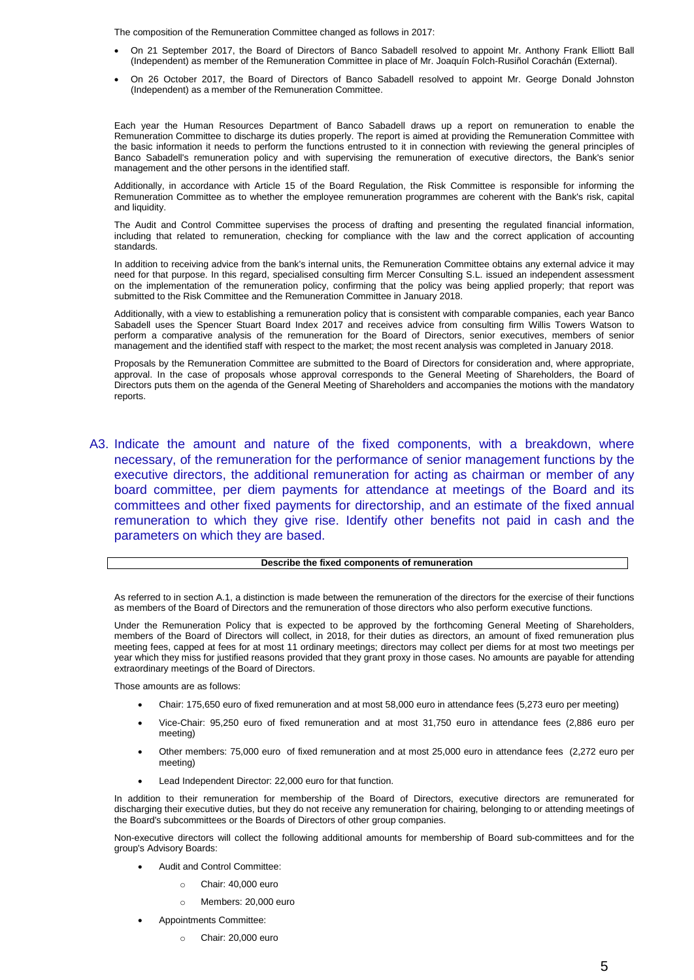The composition of the Remuneration Committee changed as follows in 2017:

- On 21 September 2017, the Board of Directors of Banco Sabadell resolved to appoint Mr. Anthony Frank Elliott Ball (Independent) as member of the Remuneration Committee in place of Mr. Joaquín Folch-Rusiñol Corachán (External).
- On 26 October 2017, the Board of Directors of Banco Sabadell resolved to appoint Mr. George Donald Johnston (Independent) as a member of the Remuneration Committee.

Each year the Human Resources Department of Banco Sabadell draws up a report on remuneration to enable the Remuneration Committee to discharge its duties properly. The report is aimed at providing the Remuneration Committee with the basic information it needs to perform the functions entrusted to it in connection with reviewing the general principles of Banco Sabadell's remuneration policy and with supervising the remuneration of executive directors, the Bank's senior management and the other persons in the identified staff.

Additionally, in accordance with Article 15 of the Board Regulation, the Risk Committee is responsible for informing the Remuneration Committee as to whether the employee remuneration programmes are coherent with the Bank's risk, capital and liquidity.

The Audit and Control Committee supervises the process of drafting and presenting the regulated financial information, including that related to remuneration, checking for compliance with the law and the correct application of accounting standards.

In addition to receiving advice from the bank's internal units, the Remuneration Committee obtains any external advice it may need for that purpose. In this regard, specialised consulting firm Mercer Consulting S.L. issued an independent assessment on the implementation of the remuneration policy, confirming that the policy was being applied properly; that report was submitted to the Risk Committee and the Remuneration Committee in January 2018.

Additionally, with a view to establishing a remuneration policy that is consistent with comparable companies, each year Banco Sabadell uses the Spencer Stuart Board Index 2017 and receives advice from consulting firm Willis Towers Watson to perform a comparative analysis of the remuneration for the Board of Directors, senior executives, members of senior management and the identified staff with respect to the market; the most recent analysis was completed in January 2018.

Proposals by the Remuneration Committee are submitted to the Board of Directors for consideration and, where appropriate, approval. In the case of proposals whose approval corresponds to the General Meeting of Shareholders, the Board of Directors puts them on the agenda of the General Meeting of Shareholders and accompanies the motions with the mandatory reports.

A3. Indicate the amount and nature of the fixed components, with a breakdown, where necessary, of the remuneration for the performance of senior management functions by the executive directors, the additional remuneration for acting as chairman or member of any board committee, per diem payments for attendance at meetings of the Board and its committees and other fixed payments for directorship, and an estimate of the fixed annual remuneration to which they give rise. Identify other benefits not paid in cash and the parameters on which they are based.

#### **Describe the fixed components of remuneration**

As referred to in section A.1, a distinction is made between the remuneration of the directors for the exercise of their functions as members of the Board of Directors and the remuneration of those directors who also perform executive functions.

Under the Remuneration Policy that is expected to be approved by the forthcoming General Meeting of Shareholders, members of the Board of Directors will collect, in 2018, for their duties as directors, an amount of fixed remuneration plus meeting fees, capped at fees for at most 11 ordinary meetings; directors may collect per diems for at most two meetings per year which they miss for justified reasons provided that they grant proxy in those cases. No amounts are payable for attending extraordinary meetings of the Board of Directors.

Those amounts are as follows:

- Chair: 175,650 euro of fixed remuneration and at most 58,000 euro in attendance fees (5,273 euro per meeting)
- Vice-Chair: 95,250 euro of fixed remuneration and at most 31,750 euro in attendance fees (2,886 euro per meeting)
- Other members: 75,000 euro of fixed remuneration and at most 25,000 euro in attendance fees (2,272 euro per meeting)
- Lead Independent Director: 22,000 euro for that function.

In addition to their remuneration for membership of the Board of Directors, executive directors are remunerated for discharging their executive duties, but they do not receive any remuneration for chairing, belonging to or attending meetings of the Board's subcommittees or the Boards of Directors of other group companies.

Non-executive directors will collect the following additional amounts for membership of Board sub-committees and for the group's Advisory Boards:

- Audit and Control Committee:
	- o Chair: 40,000 euro
	- o Members: 20,000 euro
- Appointments Committee:
	- o Chair: 20,000 euro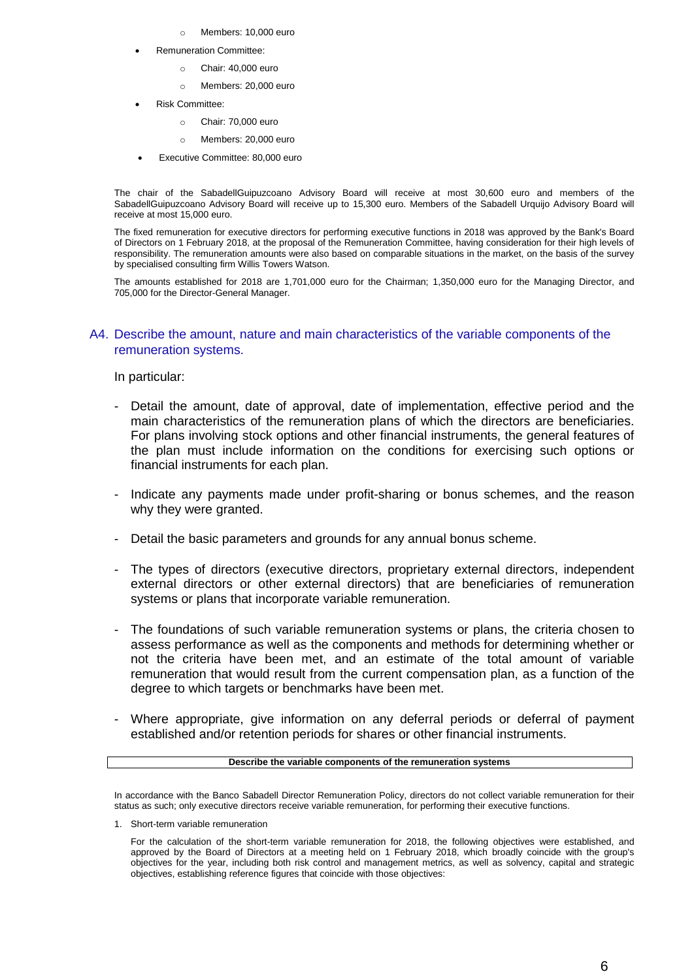- o Members: 10,000 euro
- Remuneration Committee:
	- o Chair: 40,000 euro
	- o Members: 20,000 euro
- Risk Committee:
	- o Chair: 70,000 euro
	- o Members: 20,000 euro
- Executive Committee: 80,000 euro

The chair of the SabadellGuipuzcoano Advisory Board will receive at most 30,600 euro and members of the SabadellGuipuzcoano Advisory Board will receive up to 15,300 euro. Members of the Sabadell Urquijo Advisory Board will receive at most 15,000 euro.

The fixed remuneration for executive directors for performing executive functions in 2018 was approved by the Bank's Board of Directors on 1 February 2018, at the proposal of the Remuneration Committee, having consideration for their high levels of responsibility. The remuneration amounts were also based on comparable situations in the market, on the basis of the survey by specialised consulting firm Willis Towers Watson.

The amounts established for 2018 are 1,701,000 euro for the Chairman; 1,350,000 euro for the Managing Director, and 705,000 for the Director-General Manager.

### A4. Describe the amount, nature and main characteristics of the variable components of the remuneration systems.

In particular:

- Detail the amount, date of approval, date of implementation, effective period and the main characteristics of the remuneration plans of which the directors are beneficiaries. For plans involving stock options and other financial instruments, the general features of the plan must include information on the conditions for exercising such options or financial instruments for each plan.
- Indicate any payments made under profit-sharing or bonus schemes, and the reason why they were granted.
- Detail the basic parameters and grounds for any annual bonus scheme.
- The types of directors (executive directors, proprietary external directors, independent external directors or other external directors) that are beneficiaries of remuneration systems or plans that incorporate variable remuneration.
- The foundations of such variable remuneration systems or plans, the criteria chosen to assess performance as well as the components and methods for determining whether or not the criteria have been met, and an estimate of the total amount of variable remuneration that would result from the current compensation plan, as a function of the degree to which targets or benchmarks have been met.
- Where appropriate, give information on any deferral periods or deferral of payment established and/or retention periods for shares or other financial instruments.

#### **Describe the variable components of the remuneration systems**

In accordance with the Banco Sabadell Director Remuneration Policy, directors do not collect variable remuneration for their status as such; only executive directors receive variable remuneration, for performing their executive functions.

1. Short-term variable remuneration

For the calculation of the short-term variable remuneration for 2018, the following objectives were established, and approved by the Board of Directors at a meeting held on 1 February 2018, which broadly coincide with the group's objectives for the year, including both risk control and management metrics, as well as solvency, capital and strategic objectives, establishing reference figures that coincide with those objectives: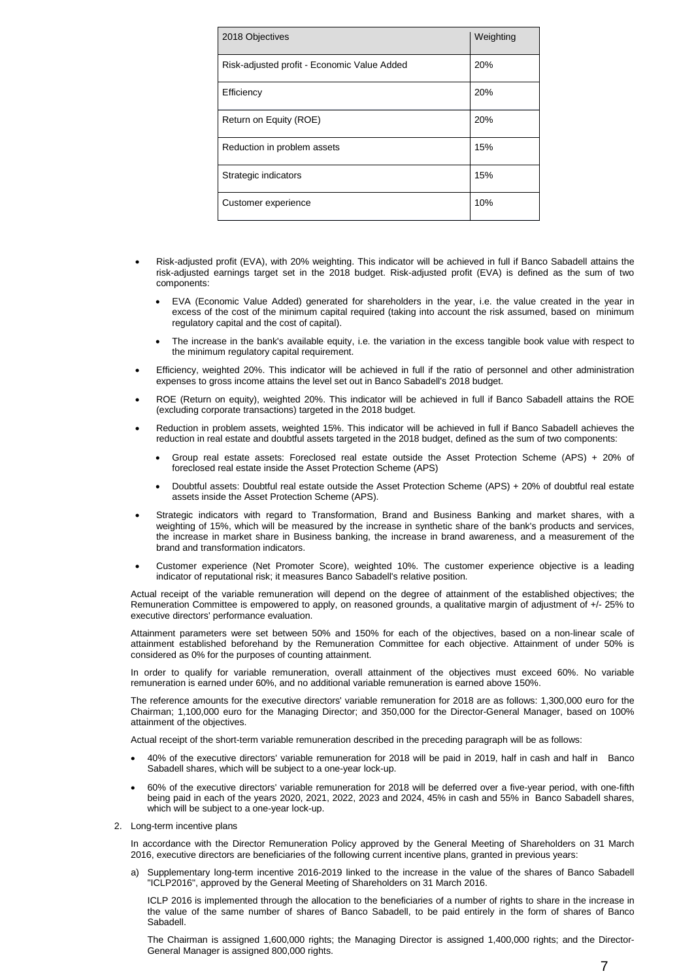| 2018 Objectives                             | Weighting |
|---------------------------------------------|-----------|
| Risk-adjusted profit - Economic Value Added | 20%       |
| Efficiency                                  | 20%       |
| Return on Equity (ROE)                      | 20%       |
| Reduction in problem assets                 | 15%       |
| Strategic indicators                        | 15%       |
| Customer experience                         | 10%       |

- Risk-adjusted profit (EVA), with 20% weighting. This indicator will be achieved in full if Banco Sabadell attains the risk-adjusted earnings target set in the 2018 budget. Risk-adjusted profit (EVA) is defined as the sum of two components:
	- EVA (Economic Value Added) generated for shareholders in the year, i.e. the value created in the year in excess of the cost of the minimum capital required (taking into account the risk assumed, based on minimum regulatory capital and the cost of capital).
	- The increase in the bank's available equity, i.e. the variation in the excess tangible book value with respect to the minimum regulatory capital requirement.
- Efficiency, weighted 20%. This indicator will be achieved in full if the ratio of personnel and other administration expenses to gross income attains the level set out in Banco Sabadell's 2018 budget.
- ROE (Return on equity), weighted 20%. This indicator will be achieved in full if Banco Sabadell attains the ROE (excluding corporate transactions) targeted in the 2018 budget.
- Reduction in problem assets, weighted 15%. This indicator will be achieved in full if Banco Sabadell achieves the reduction in real estate and doubtful assets targeted in the 2018 budget, defined as the sum of two components:
	- Group real estate assets: Foreclosed real estate outside the Asset Protection Scheme (APS) + 20% of foreclosed real estate inside the Asset Protection Scheme (APS)
	- Doubtful assets: Doubtful real estate outside the Asset Protection Scheme (APS) + 20% of doubtful real estate assets inside the Asset Protection Scheme (APS).
- Strategic indicators with regard to Transformation, Brand and Business Banking and market shares, with a weighting of 15%, which will be measured by the increase in synthetic share of the bank's products and services, the increase in market share in Business banking, the increase in brand awareness, and a measurement of the brand and transformation indicators.
- Customer experience (Net Promoter Score), weighted 10%. The customer experience objective is a leading indicator of reputational risk; it measures Banco Sabadell's relative position.

Actual receipt of the variable remuneration will depend on the degree of attainment of the established objectives; the Remuneration Committee is empowered to apply, on reasoned grounds, a qualitative margin of adjustment of +/- 25% to executive directors' performance evaluation.

Attainment parameters were set between 50% and 150% for each of the objectives, based on a non-linear scale of attainment established beforehand by the Remuneration Committee for each objective. Attainment of under 50% is considered as 0% for the purposes of counting attainment.

In order to qualify for variable remuneration, overall attainment of the objectives must exceed 60%. No variable remuneration is earned under 60%, and no additional variable remuneration is earned above 150%.

The reference amounts for the executive directors' variable remuneration for 2018 are as follows: 1,300,000 euro for the Chairman; 1,100,000 euro for the Managing Director; and 350,000 for the Director-General Manager, based on 100% attainment of the objectives.

Actual receipt of the short-term variable remuneration described in the preceding paragraph will be as follows:

- 40% of the executive directors' variable remuneration for 2018 will be paid in 2019, half in cash and half in Banco Sabadell shares, which will be subject to a one-year lock-up.
- 60% of the executive directors' variable remuneration for 2018 will be deferred over a five-year period, with one-fifth being paid in each of the years 2020, 2021, 2022, 2023 and 2024, 45% in cash and 55% in Banco Sabadell shares, which will be subject to a one-year lock-up.
- 2. Long-term incentive plans

In accordance with the Director Remuneration Policy approved by the General Meeting of Shareholders on 31 March 2016, executive directors are beneficiaries of the following current incentive plans, granted in previous years:

a) Supplementary long-term incentive 2016-2019 linked to the increase in the value of the shares of Banco Sabadell "ICLP2016", approved by the General Meeting of Shareholders on 31 March 2016.

ICLP 2016 is implemented through the allocation to the beneficiaries of a number of rights to share in the increase in the value of the same number of shares of Banco Sabadell, to be paid entirely in the form of shares of Banco Sabadell.

The Chairman is assigned 1,600,000 rights; the Managing Director is assigned 1,400,000 rights; and the Director-General Manager is assigned 800,000 rights.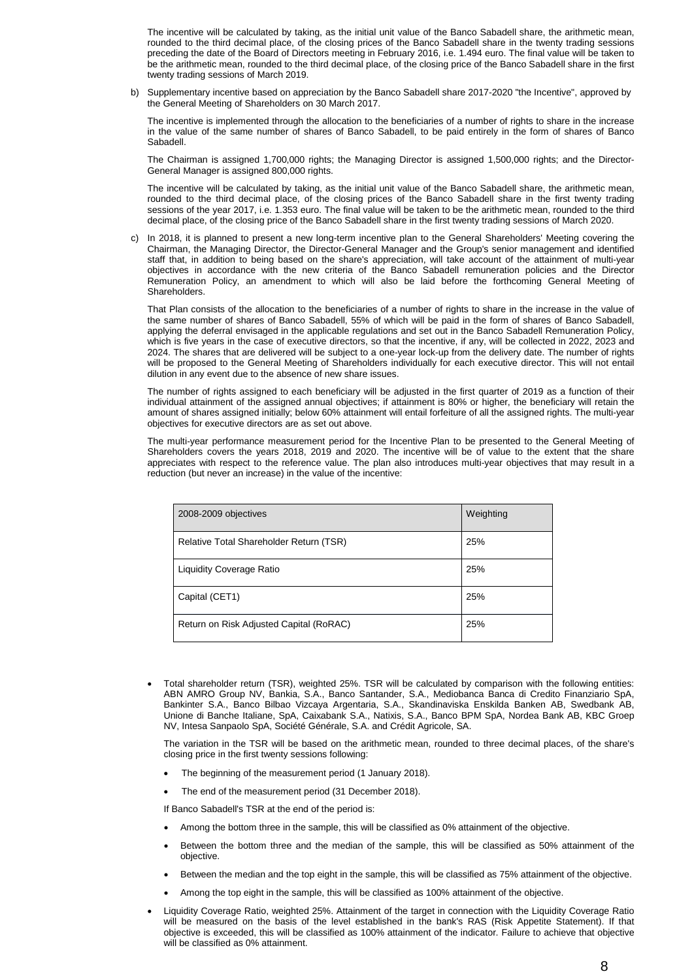The incentive will be calculated by taking, as the initial unit value of the Banco Sabadell share, the arithmetic mean, rounded to the third decimal place, of the closing prices of the Banco Sabadell share in the twenty trading sessions preceding the date of the Board of Directors meeting in February 2016, i.e. 1.494 euro. The final value will be taken to be the arithmetic mean, rounded to the third decimal place, of the closing price of the Banco Sabadell share in the first twenty trading sessions of March 2019.

b) Supplementary incentive based on appreciation by the Banco Sabadell share 2017-2020 "the Incentive", approved by the General Meeting of Shareholders on 30 March 2017.

The incentive is implemented through the allocation to the beneficiaries of a number of rights to share in the increase in the value of the same number of shares of Banco Sabadell, to be paid entirely in the form of shares of Banco Sabadell.

The Chairman is assigned 1,700,000 rights; the Managing Director is assigned 1,500,000 rights; and the Director-General Manager is assigned 800,000 rights.

The incentive will be calculated by taking, as the initial unit value of the Banco Sabadell share, the arithmetic mean, rounded to the third decimal place, of the closing prices of the Banco Sabadell share in the first twenty trading sessions of the year 2017, i.e. 1.353 euro. The final value will be taken to be the arithmetic mean, rounded to the third decimal place, of the closing price of the Banco Sabadell share in the first twenty trading sessions of March 2020.

c) In 2018, it is planned to present a new long-term incentive plan to the General Shareholders' Meeting covering the Chairman, the Managing Director, the Director-General Manager and the Group's senior management and identified staff that, in addition to being based on the share's appreciation, will take account of the attainment of multi-year objectives in accordance with the new criteria of the Banco Sabadell remuneration policies and the Director Remuneration Policy, an amendment to which will also be laid before the forthcoming General Meeting of Shareholders.

That Plan consists of the allocation to the beneficiaries of a number of rights to share in the increase in the value of the same number of shares of Banco Sabadell, 55% of which will be paid in the form of shares of Banco Sabadell, applying the deferral envisaged in the applicable regulations and set out in the Banco Sabadell Remuneration Policy, which is five years in the case of executive directors, so that the incentive, if any, will be collected in 2022, 2023 and 2024. The shares that are delivered will be subject to a one-year lock-up from the delivery date. The number of rights will be proposed to the General Meeting of Shareholders individually for each executive director. This will not entail dilution in any event due to the absence of new share issues.

The number of rights assigned to each beneficiary will be adjusted in the first quarter of 2019 as a function of their individual attainment of the assigned annual objectives; if attainment is 80% or higher, the beneficiary will retain the amount of shares assigned initially; below 60% attainment will entail forfeiture of all the assigned rights. The multi-year objectives for executive directors are as set out above.

The multi-year performance measurement period for the Incentive Plan to be presented to the General Meeting of Shareholders covers the years 2018, 2019 and 2020. The incentive will be of value to the extent that the share appreciates with respect to the reference value. The plan also introduces multi-year objectives that may result in a reduction (but never an increase) in the value of the incentive:

| 2008-2009 objectives                    | Weighting |
|-----------------------------------------|-----------|
| Relative Total Shareholder Return (TSR) | 25%       |
| <b>Liquidity Coverage Ratio</b>         | 25%       |
| Capital (CET1)                          | 25%       |
| Return on Risk Adjusted Capital (RoRAC) | 25%       |

 Total shareholder return (TSR), weighted 25%. TSR will be calculated by comparison with the following entities: ABN AMRO Group NV, Bankia, S.A., Banco Santander, S.A., Mediobanca Banca di Credito Finanziario SpA, Bankinter S.A., Banco Bilbao Vizcaya Argentaria, S.A., Skandinaviska Enskilda Banken AB, Swedbank AB, Unione di Banche Italiane, SpA, Caixabank S.A., Natixis, S.A., Banco BPM SpA, Nordea Bank AB, KBC Groep NV, Intesa Sanpaolo SpA, Société Générale, S.A. and Crédit Agricole, SA.

The variation in the TSR will be based on the arithmetic mean, rounded to three decimal places, of the share's closing price in the first twenty sessions following:

- The beginning of the measurement period (1 January 2018).
- The end of the measurement period (31 December 2018).

If Banco Sabadell's TSR at the end of the period is:

- Among the bottom three in the sample, this will be classified as 0% attainment of the objective.
- Between the bottom three and the median of the sample, this will be classified as 50% attainment of the objective.
- Between the median and the top eight in the sample, this will be classified as 75% attainment of the objective.
- Among the top eight in the sample, this will be classified as 100% attainment of the objective.
- Liquidity Coverage Ratio, weighted 25%. Attainment of the target in connection with the Liquidity Coverage Ratio will be measured on the basis of the level established in the bank's RAS (Risk Appetite Statement). If that objective is exceeded, this will be classified as 100% attainment of the indicator. Failure to achieve that objective will be classified as 0% attainment.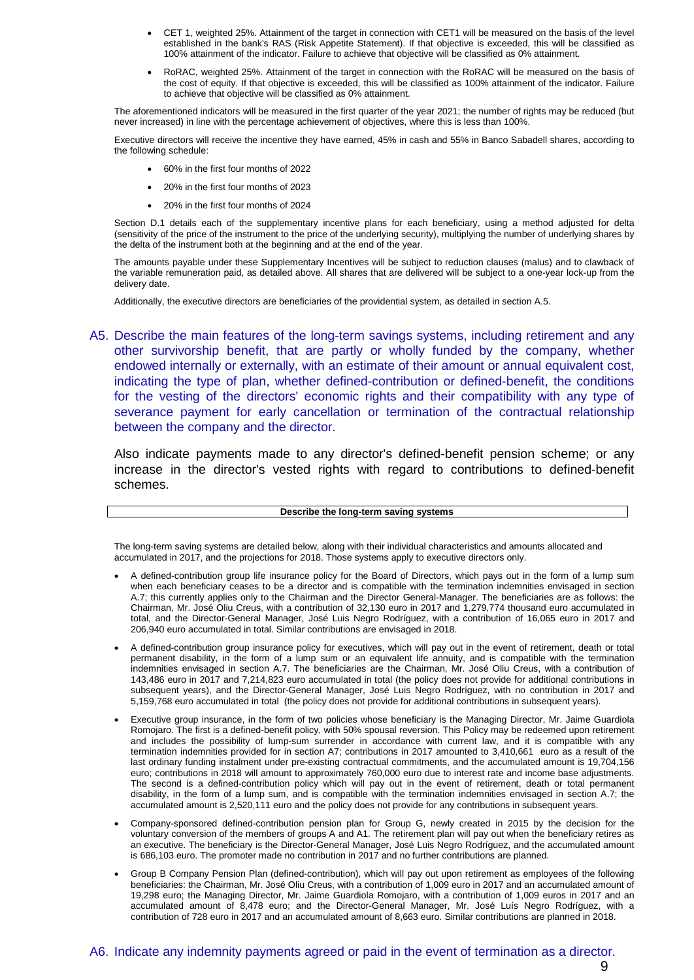- CET 1, weighted 25%. Attainment of the target in connection with CET1 will be measured on the basis of the level established in the bank's RAS (Risk Appetite Statement). If that objective is exceeded, this will be classified as 100% attainment of the indicator. Failure to achieve that objective will be classified as 0% attainment.
- RoRAC, weighted 25%. Attainment of the target in connection with the RoRAC will be measured on the basis of the cost of equity. If that objective is exceeded, this will be classified as 100% attainment of the indicator. Failure to achieve that objective will be classified as 0% attainment.

The aforementioned indicators will be measured in the first quarter of the year 2021; the number of rights may be reduced (but never increased) in line with the percentage achievement of objectives, where this is less than 100%.

Executive directors will receive the incentive they have earned, 45% in cash and 55% in Banco Sabadell shares, according to the following schedule:

- 60% in the first four months of 2022
- 20% in the first four months of 2023
- 20% in the first four months of 2024

Section D.1 details each of the supplementary incentive plans for each beneficiary, using a method adjusted for delta (sensitivity of the price of the instrument to the price of the underlying security), multiplying the number of underlying shares by the delta of the instrument both at the beginning and at the end of the year.

The amounts payable under these Supplementary Incentives will be subject to reduction clauses (malus) and to clawback of the variable remuneration paid, as detailed above. All shares that are delivered will be subject to a one-year lock-up from the delivery date.

Additionally, the executive directors are beneficiaries of the providential system, as detailed in section A.5.

A5. Describe the main features of the long-term savings systems, including retirement and any other survivorship benefit, that are partly or wholly funded by the company, whether endowed internally or externally, with an estimate of their amount or annual equivalent cost, indicating the type of plan, whether defined-contribution or defined-benefit, the conditions for the vesting of the directors' economic rights and their compatibility with any type of severance payment for early cancellation or termination of the contractual relationship between the company and the director.

Also indicate payments made to any director's defined-benefit pension scheme; or any increase in the director's vested rights with regard to contributions to defined-benefit schemes.

#### **Describe the long-term saving systems**

The long-term saving systems are detailed below, along with their individual characteristics and amounts allocated and accumulated in 2017, and the projections for 2018. Those systems apply to executive directors only.

- A defined-contribution group life insurance policy for the Board of Directors, which pays out in the form of a lump sum when each beneficiary ceases to be a director and is compatible with the termination indemnities envisaged in section A.7; this currently applies only to the Chairman and the Director General-Manager. The beneficiaries are as follows: the Chairman, Mr. José Oliu Creus, with a contribution of 32,130 euro in 2017 and 1,279,774 thousand euro accumulated in total, and the Director-General Manager, José Luis Negro Rodríguez, with a contribution of 16,065 euro in 2017 and 206,940 euro accumulated in total. Similar contributions are envisaged in 2018.
- A defined-contribution group insurance policy for executives, which will pay out in the event of retirement, death or total permanent disability, in the form of a lump sum or an equivalent life annuity, and is compatible with the termination indemnities envisaged in section A.7. The beneficiaries are the Chairman, Mr. José Oliu Creus, with a contribution of 143,486 euro in 2017 and 7,214,823 euro accumulated in total (the policy does not provide for additional contributions in subsequent years), and the Director-General Manager, José Luis Negro Rodríguez, with no contribution in 2017 and 5,159,768 euro accumulated in total (the policy does not provide for additional contributions in subsequent years).
- Executive group insurance, in the form of two policies whose beneficiary is the Managing Director, Mr. Jaime Guardiola Romojaro. The first is a defined-benefit policy, with 50% spousal reversion. This Policy may be redeemed upon retirement and includes the possibility of lump-sum surrender in accordance with current law, and it is compatible with any termination indemnities provided for in section A7; contributions in 2017 amounted to 3,410,661 euro as a result of the last ordinary funding instalment under pre-existing contractual commitments, and the accumulated amount is 19,704,156 euro; contributions in 2018 will amount to approximately 760,000 euro due to interest rate and income base adjustments. The second is a defined-contribution policy which will pay out in the event of retirement, death or total permanent disability, in the form of a lump sum, and is compatible with the termination indemnities envisaged in section A.7; the accumulated amount is 2,520,111 euro and the policy does not provide for any contributions in subsequent years.
- Company-sponsored defined-contribution pension plan for Group G, newly created in 2015 by the decision for the voluntary conversion of the members of groups A and A1. The retirement plan will pay out when the beneficiary retires as an executive. The beneficiary is the Director-General Manager, José Luis Negro Rodríguez, and the accumulated amount is 686,103 euro. The promoter made no contribution in 2017 and no further contributions are planned.
- Group B Company Pension Plan (defined-contribution), which will pay out upon retirement as employees of the following beneficiaries: the Chairman, Mr. José Oliu Creus, with a contribution of 1,009 euro in 2017 and an accumulated amount of 19,298 euro; the Managing Director, Mr. Jaime Guardiola Romojaro, with a contribution of 1,009 euros in 2017 and an accumulated amount of 8,478 euro; and the Director-General Manager, Mr. José Luís Negro Rodríguez, with a contribution of 728 euro in 2017 and an accumulated amount of 8,663 euro. Similar contributions are planned in 2018.

### A6. Indicate any indemnity payments agreed or paid in the event of termination as a director.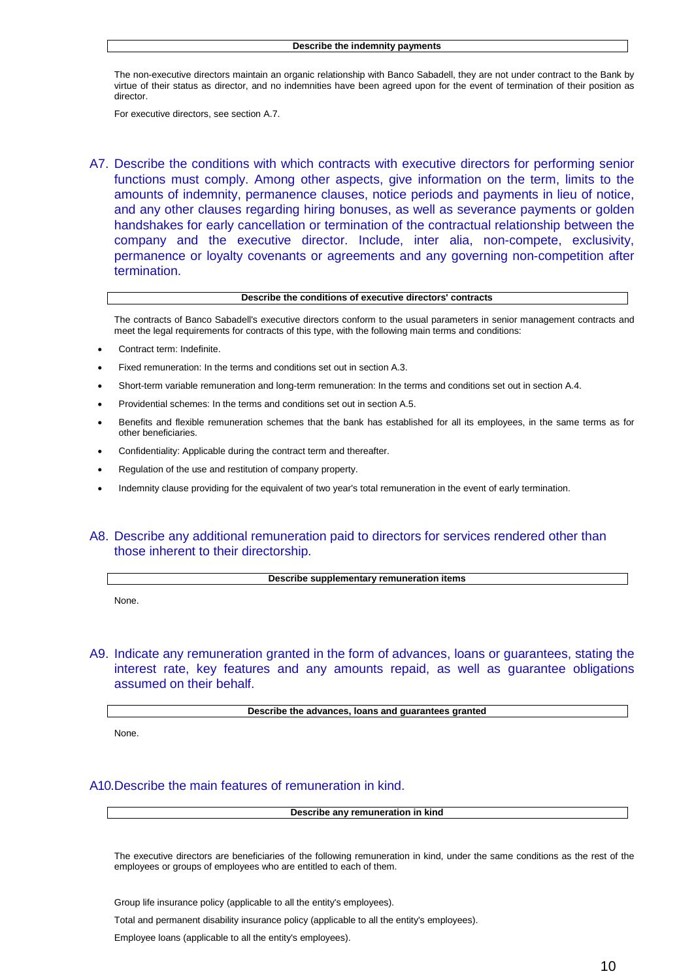The non-executive directors maintain an organic relationship with Banco Sabadell, they are not under contract to the Bank by virtue of their status as director, and no indemnities have been agreed upon for the event of termination of their position as director.

For executive directors, see section A.7.

A7. Describe the conditions with which contracts with executive directors for performing senior functions must comply. Among other aspects, give information on the term, limits to the amounts of indemnity, permanence clauses, notice periods and payments in lieu of notice, and any other clauses regarding hiring bonuses, as well as severance payments or golden handshakes for early cancellation or termination of the contractual relationship between the company and the executive director. Include, inter alia, non-compete, exclusivity, permanence or loyalty covenants or agreements and any governing non-competition after termination.

#### **Describe the conditions of executive directors' contracts**

The contracts of Banco Sabadell's executive directors conform to the usual parameters in senior management contracts and meet the legal requirements for contracts of this type, with the following main terms and conditions:

- Contract term: Indefinite.
- Fixed remuneration: In the terms and conditions set out in section A.3.
- Short-term variable remuneration and long-term remuneration: In the terms and conditions set out in section A.4.
- Providential schemes: In the terms and conditions set out in section A.5.
- Benefits and flexible remuneration schemes that the bank has established for all its employees, in the same terms as for other beneficiaries.
- Confidentiality: Applicable during the contract term and thereafter.
- Regulation of the use and restitution of company property.
- Indemnity clause providing for the equivalent of two year's total remuneration in the event of early termination.

### A8. Describe any additional remuneration paid to directors for services rendered other than those inherent to their directorship.

#### **Describe supplementary remuneration items**

None.

A9. Indicate any remuneration granted in the form of advances, loans or guarantees, stating the interest rate, key features and any amounts repaid, as well as guarantee obligations assumed on their behalf.

**Describe the advances, loans and guarantees granted**

None.

#### A10.Describe the main features of remuneration in kind.

**Describe any remuneration in kind**

The executive directors are beneficiaries of the following remuneration in kind, under the same conditions as the rest of the employees or groups of employees who are entitled to each of them.

Group life insurance policy (applicable to all the entity's employees).

Total and permanent disability insurance policy (applicable to all the entity's employees).

Employee loans (applicable to all the entity's employees).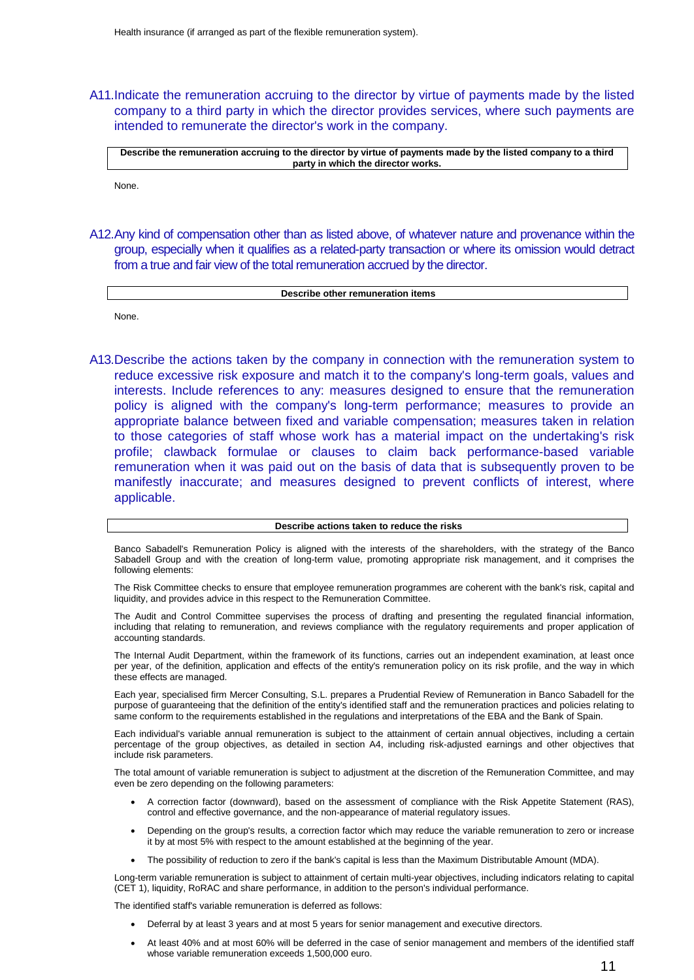A11.Indicate the remuneration accruing to the director by virtue of payments made by the listed company to a third party in which the director provides services, where such payments are intended to remunerate the director's work in the company.

Describe the remuneration accruing to the director by virtue of payments made by the listed company to a third **party in which the director works.**

None.

A12.Any kind of compensation other than as listed above, of whatever nature and provenance within the group, especially when it qualifies as a related-party transaction or where its omission would detract from a true and fair view of the total remuneration accrued by the director.

#### **Describe other remuneration items**

None.

A13.Describe the actions taken by the company in connection with the remuneration system to reduce excessive risk exposure and match it to the company's long-term goals, values and interests. Include references to any: measures designed to ensure that the remuneration policy is aligned with the company's long-term performance; measures to provide an appropriate balance between fixed and variable compensation; measures taken in relation to those categories of staff whose work has a material impact on the undertaking's risk profile; clawback formulae or clauses to claim back performance-based variable remuneration when it was paid out on the basis of data that is subsequently proven to be manifestly inaccurate; and measures designed to prevent conflicts of interest, where applicable.

#### **Describe actions taken to reduce the risks**

Banco Sabadell's Remuneration Policy is aligned with the interests of the shareholders, with the strategy of the Banco Sabadell Group and with the creation of long-term value, promoting appropriate risk management, and it comprises the following elements:

The Risk Committee checks to ensure that employee remuneration programmes are coherent with the bank's risk, capital and liquidity, and provides advice in this respect to the Remuneration Committee.

The Audit and Control Committee supervises the process of drafting and presenting the regulated financial information, including that relating to remuneration, and reviews compliance with the regulatory requirements and proper application of accounting standards.

The Internal Audit Department, within the framework of its functions, carries out an independent examination, at least once per year, of the definition, application and effects of the entity's remuneration policy on its risk profile, and the way in which these effects are managed.

Each year, specialised firm Mercer Consulting, S.L. prepares a Prudential Review of Remuneration in Banco Sabadell for the purpose of guaranteeing that the definition of the entity's identified staff and the remuneration practices and policies relating to same conform to the requirements established in the regulations and interpretations of the EBA and the Bank of Spain.

Each individual's variable annual remuneration is subject to the attainment of certain annual objectives, including a certain percentage of the group objectives, as detailed in section A4, including risk-adjusted earnings and other objectives that include risk parameters.

The total amount of variable remuneration is subject to adjustment at the discretion of the Remuneration Committee, and may even be zero depending on the following parameters:

- A correction factor (downward), based on the assessment of compliance with the Risk Appetite Statement (RAS), control and effective governance, and the non-appearance of material regulatory issues.
- Depending on the group's results, a correction factor which may reduce the variable remuneration to zero or increase it by at most 5% with respect to the amount established at the beginning of the year.
- The possibility of reduction to zero if the bank's capital is less than the Maximum Distributable Amount (MDA).

Long-term variable remuneration is subject to attainment of certain multi-year objectives, including indicators relating to capital (CET 1), liquidity, RoRAC and share performance, in addition to the person's individual performance.

The identified staff's variable remuneration is deferred as follows:

- Deferral by at least 3 years and at most 5 years for senior management and executive directors.
- At least 40% and at most 60% will be deferred in the case of senior management and members of the identified staff whose variable remuneration exceeds 1,500,000 euro.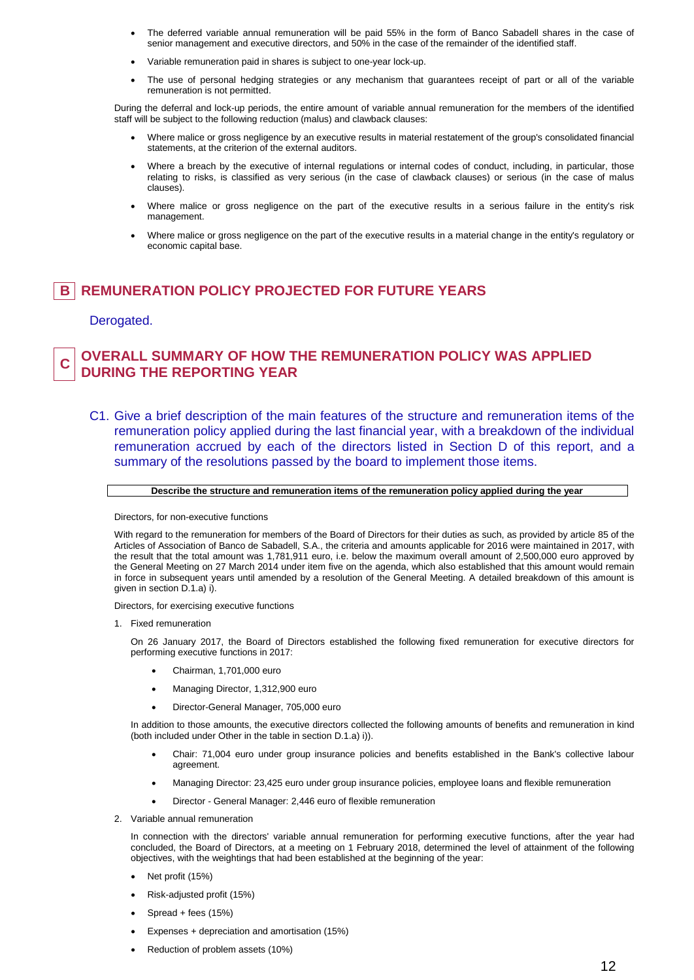- The deferred variable annual remuneration will be paid 55% in the form of Banco Sabadell shares in the case of senior management and executive directors, and 50% in the case of the remainder of the identified staff.
- Variable remuneration paid in shares is subject to one-year lock-up.
- The use of personal hedging strategies or any mechanism that guarantees receipt of part or all of the variable remuneration is not permitted.

During the deferral and lock-up periods, the entire amount of variable annual remuneration for the members of the identified staff will be subject to the following reduction (malus) and clawback clauses:

- Where malice or gross negligence by an executive results in material restatement of the group's consolidated financial statements, at the criterion of the external auditors.
- Where a breach by the executive of internal regulations or internal codes of conduct, including, in particular, those relating to risks, is classified as very serious (in the case of clawback clauses) or serious (in the case of malus clauses).
- Where malice or gross negligence on the part of the executive results in a serious failure in the entity's risk management.
- Where malice or gross negligence on the part of the executive results in a material change in the entity's regulatory or economic capital base.

# **B REMUNERATION POLICY PROJECTED FOR FUTURE YEARS**

### Derogated.

#### **C OVERALL SUMMARY OF HOW THE REMUNERATION POLICY WAS APPLIED DURING THE REPORTING YEAR**

C1. Give a brief description of the main features of the structure and remuneration items of the remuneration policy applied during the last financial year, with a breakdown of the individual remuneration accrued by each of the directors listed in Section D of this report, and a summary of the resolutions passed by the board to implement those items.

### **Describe the structure and remuneration items of the remuneration policy applied during the year**

Directors, for non-executive functions

With regard to the remuneration for members of the Board of Directors for their duties as such, as provided by article 85 of the Articles of Association of Banco de Sabadell, S.A., the criteria and amounts applicable for 2016 were maintained in 2017, with the result that the total amount was 1,781,911 euro, i.e. below the maximum overall amount of 2,500,000 euro approved by the General Meeting on 27 March 2014 under item five on the agenda, which also established that this amount would remain in force in subsequent years until amended by a resolution of the General Meeting. A detailed breakdown of this amount is given in section D.1.a) i).

Directors, for exercising executive functions

1. Fixed remuneration

On 26 January 2017, the Board of Directors established the following fixed remuneration for executive directors for performing executive functions in 2017:

- Chairman, 1,701,000 euro
- Managing Director, 1,312,900 euro
- Director-General Manager, 705,000 euro

In addition to those amounts, the executive directors collected the following amounts of benefits and remuneration in kind (both included under Other in the table in section D.1.a) i)).

- Chair: 71,004 euro under group insurance policies and benefits established in the Bank's collective labour agreement.
- Managing Director: 23,425 euro under group insurance policies, employee loans and flexible remuneration
- Director General Manager: 2,446 euro of flexible remuneration
- 2. Variable annual remuneration

In connection with the directors' variable annual remuneration for performing executive functions, after the year had concluded, the Board of Directors, at a meeting on 1 February 2018, determined the level of attainment of the following objectives, with the weightings that had been established at the beginning of the year:

- Net profit (15%)
- Risk-adjusted profit (15%)
- Spread + fees (15%)
- Expenses + depreciation and amortisation (15%)
- Reduction of problem assets (10%)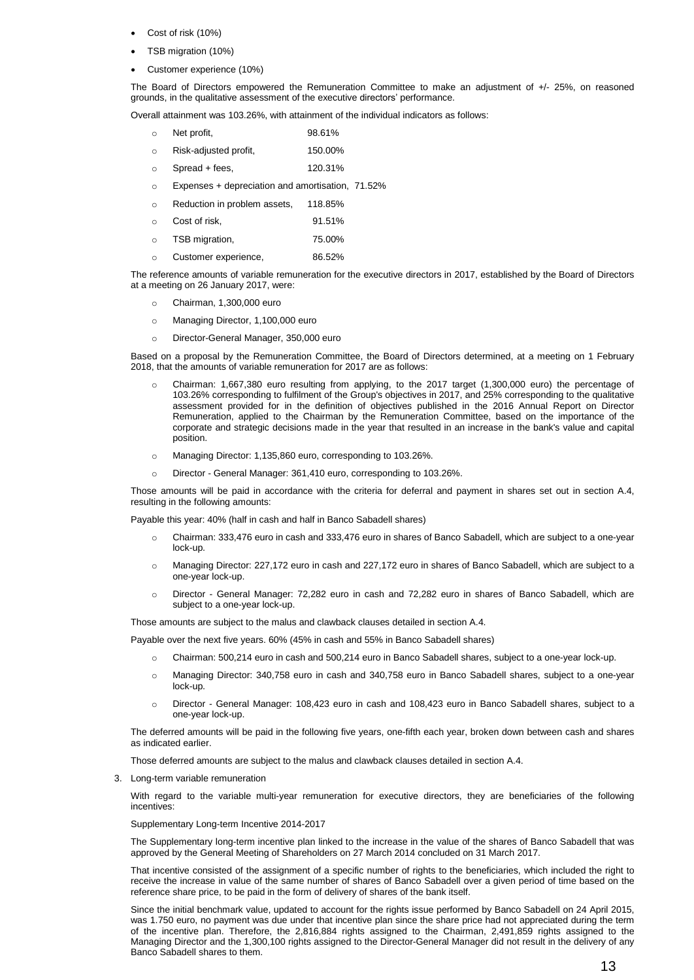- Cost of risk (10%)
- TSB migration (10%)
- Customer experience (10%)

The Board of Directors empowered the Remuneration Committee to make an adjustment of +/- 25%, on reasoned grounds, in the qualitative assessment of the executive directors' performance.

Overall attainment was 103.26%, with attainment of the individual indicators as follows:

- o Net profit, 98.61%
- o Risk-adjusted profit, 150.00%
- $\circ$  Spread + fees, 120.31%
- o Expenses + depreciation and amortisation, 71.52%
- o Reduction in problem assets, 118.85%
- o Cost of risk, 91.51%
- o TSB migration, 75.00%
- o Customer experience, 86.52%

The reference amounts of variable remuneration for the executive directors in 2017, established by the Board of Directors at a meeting on 26 January 2017, were:

- o Chairman, 1,300,000 euro
- o Managing Director, 1,100,000 euro
- o Director-General Manager, 350,000 euro

Based on a proposal by the Remuneration Committee, the Board of Directors determined, at a meeting on 1 February 2018, that the amounts of variable remuneration for 2017 are as follows:

- Chairman: 1,667,380 euro resulting from applying, to the 2017 target (1,300,000 euro) the percentage of 103.26% corresponding to fulfilment of the Group's objectives in 2017, and 25% corresponding to the qualitative assessment provided for in the definition of objectives published in the 2016 Annual Report on Director Remuneration, applied to the Chairman by the Remuneration Committee, based on the importance of the corporate and strategic decisions made in the year that resulted in an increase in the bank's value and capital position.
- o Managing Director: 1,135,860 euro, corresponding to 103.26%.
- o Director General Manager: 361,410 euro, corresponding to 103.26%.

Those amounts will be paid in accordance with the criteria for deferral and payment in shares set out in section A.4, resulting in the following amounts:

Payable this year: 40% (half in cash and half in Banco Sabadell shares)

- o Chairman: 333,476 euro in cash and 333,476 euro in shares of Banco Sabadell, which are subject to a one-year lock-up.
- o Managing Director: 227,172 euro in cash and 227,172 euro in shares of Banco Sabadell, which are subject to a one-year lock-up.
- Director General Manager: 72,282 euro in cash and 72,282 euro in shares of Banco Sabadell, which are subject to a one-year lock-up.

Those amounts are subject to the malus and clawback clauses detailed in section A.4.

Payable over the next five years. 60% (45% in cash and 55% in Banco Sabadell shares)

- o Chairman: 500,214 euro in cash and 500,214 euro in Banco Sabadell shares, subject to a one-year lock-up.
- o Managing Director: 340,758 euro in cash and 340,758 euro in Banco Sabadell shares, subject to a one-year lock-up.
- o Director General Manager: 108,423 euro in cash and 108,423 euro in Banco Sabadell shares, subject to a one-year lock-up.

The deferred amounts will be paid in the following five years, one-fifth each year, broken down between cash and shares as indicated earlier.

Those deferred amounts are subject to the malus and clawback clauses detailed in section A.4.

3. Long-term variable remuneration

With regard to the variable multi-year remuneration for executive directors, they are beneficiaries of the following incentives:

Supplementary Long-term Incentive 2014-2017

The Supplementary long-term incentive plan linked to the increase in the value of the shares of Banco Sabadell that was approved by the General Meeting of Shareholders on 27 March 2014 concluded on 31 March 2017.

That incentive consisted of the assignment of a specific number of rights to the beneficiaries, which included the right to receive the increase in value of the same number of shares of Banco Sabadell over a given period of time based on the reference share price, to be paid in the form of delivery of shares of the bank itself.

Since the initial benchmark value, updated to account for the rights issue performed by Banco Sabadell on 24 April 2015, was 1.750 euro, no payment was due under that incentive plan since the share price had not appreciated during the term of the incentive plan. Therefore, the 2,816,884 rights assigned to the Chairman, 2,491,859 rights assigned to the Managing Director and the 1,300,100 rights assigned to the Director-General Manager did not result in the delivery of any Banco Sabadell shares to them.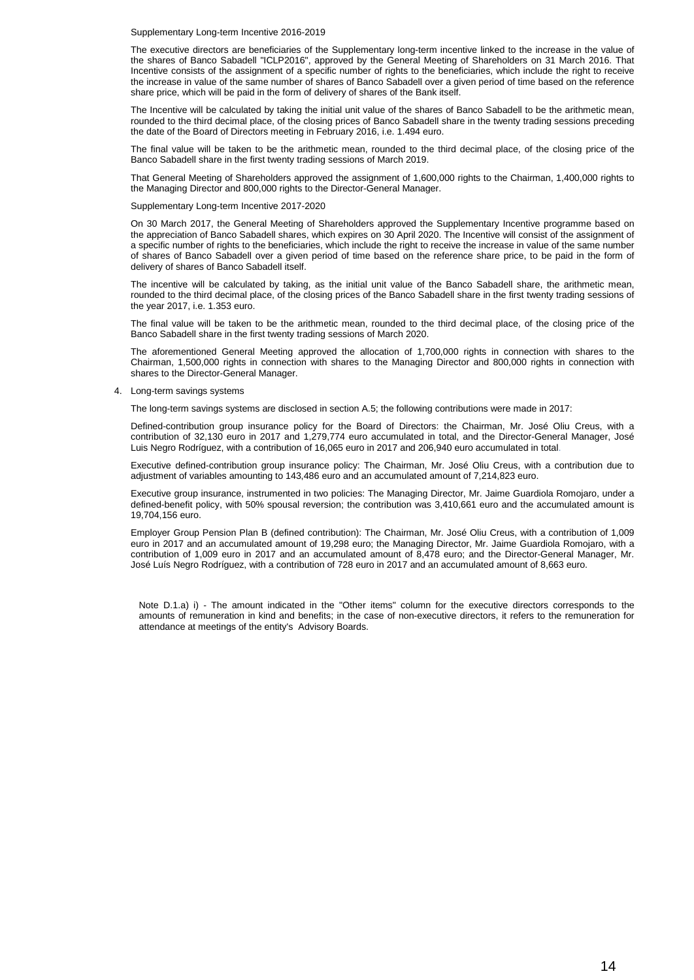Supplementary Long-term Incentive 2016-2019

The executive directors are beneficiaries of the Supplementary long-term incentive linked to the increase in the value of the shares of Banco Sabadell "ICLP2016", approved by the General Meeting of Shareholders on 31 March 2016. That Incentive consists of the assignment of a specific number of rights to the beneficiaries, which include the right to receive the increase in value of the same number of shares of Banco Sabadell over a given period of time based on the reference share price, which will be paid in the form of delivery of shares of the Bank itself.

The Incentive will be calculated by taking the initial unit value of the shares of Banco Sabadell to be the arithmetic mean, rounded to the third decimal place, of the closing prices of Banco Sabadell share in the twenty trading sessions preceding the date of the Board of Directors meeting in February 2016, i.e. 1.494 euro.

The final value will be taken to be the arithmetic mean, rounded to the third decimal place, of the closing price of the Banco Sabadell share in the first twenty trading sessions of March 2019.

That General Meeting of Shareholders approved the assignment of 1,600,000 rights to the Chairman, 1,400,000 rights to the Managing Director and 800,000 rights to the Director-General Manager.

Supplementary Long-term Incentive 2017-2020

On 30 March 2017, the General Meeting of Shareholders approved the Supplementary Incentive programme based on the appreciation of Banco Sabadell shares, which expires on 30 April 2020. The Incentive will consist of the assignment of a specific number of rights to the beneficiaries, which include the right to receive the increase in value of the same number of shares of Banco Sabadell over a given period of time based on the reference share price, to be paid in the form of delivery of shares of Banco Sabadell itself.

The incentive will be calculated by taking, as the initial unit value of the Banco Sabadell share, the arithmetic mean, rounded to the third decimal place, of the closing prices of the Banco Sabadell share in the first twenty trading sessions of the year 2017, i.e. 1.353 euro.

The final value will be taken to be the arithmetic mean, rounded to the third decimal place, of the closing price of the Banco Sabadell share in the first twenty trading sessions of March 2020.

The aforementioned General Meeting approved the allocation of 1,700,000 rights in connection with shares to the Chairman, 1,500,000 rights in connection with shares to the Managing Director and 800,000 rights in connection with shares to the Director-General Manager.

4. Long-term savings systems

The long-term savings systems are disclosed in section A.5; the following contributions were made in 2017:

Defined-contribution group insurance policy for the Board of Directors: the Chairman, Mr. José Oliu Creus, with a contribution of 32,130 euro in 2017 and 1,279,774 euro accumulated in total, and the Director-General Manager, José Luis Negro Rodríguez, with a contribution of 16,065 euro in 2017 and 206,940 euro accumulated in total.

Executive defined-contribution group insurance policy: The Chairman, Mr. José Oliu Creus, with a contribution due to adjustment of variables amounting to 143,486 euro and an accumulated amount of 7,214,823 euro.

Executive group insurance, instrumented in two policies: The Managing Director, Mr. Jaime Guardiola Romojaro, under a defined-benefit policy, with 50% spousal reversion; the contribution was 3,410,661 euro and the accumulated amount is 19,704,156 euro.

Employer Group Pension Plan B (defined contribution): The Chairman, Mr. José Oliu Creus, with a contribution of 1,009 euro in 2017 and an accumulated amount of 19,298 euro; the Managing Director, Mr. Jaime Guardiola Romojaro, with a contribution of 1,009 euro in 2017 and an accumulated amount of 8,478 euro; and the Director-General Manager, Mr. José Luís Negro Rodríguez, with a contribution of 728 euro in 2017 and an accumulated amount of 8,663 euro.

Note D.1.a) i) - The amount indicated in the "Other items" column for the executive directors corresponds to the amounts of remuneration in kind and benefits; in the case of non-executive directors, it refers to the remuneration for attendance at meetings of the entity's Advisory Boards.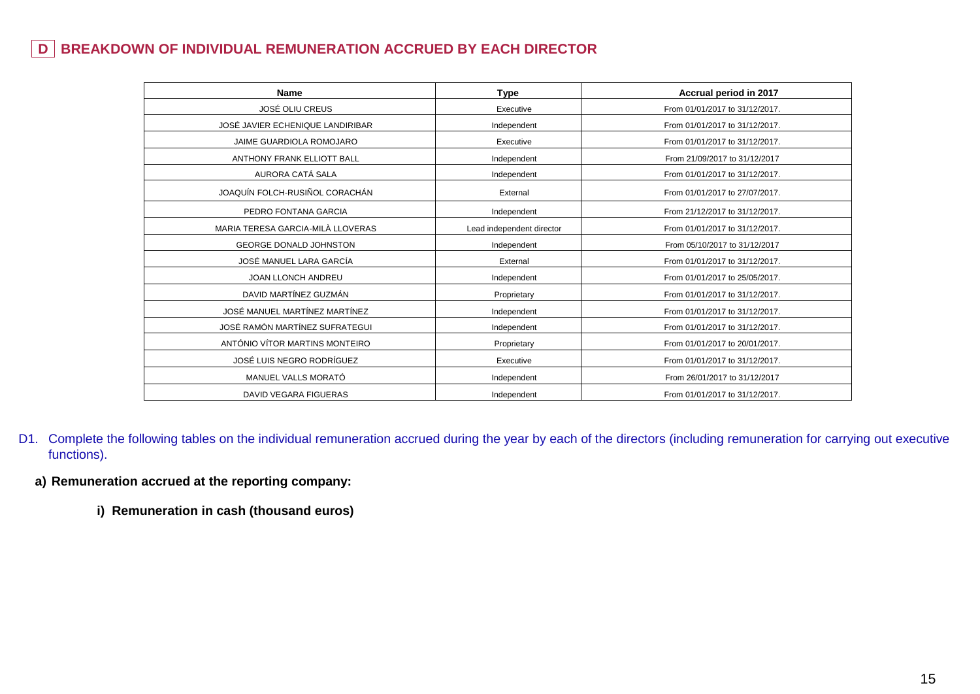# **D BREAKDOWN OF INDIVIDUAL REMUNERATION ACCRUED BY EACH DIRECTOR**

| <b>Name</b>                       | <b>Type</b>               | Accrual period in 2017         |
|-----------------------------------|---------------------------|--------------------------------|
| JOSÉ OLIU CREUS                   | Executive                 | From 01/01/2017 to 31/12/2017. |
| JOSÉ JAVIER ECHENIQUE LANDIRIBAR  | Independent               | From 01/01/2017 to 31/12/2017. |
| JAIME GUARDIOLA ROMOJARO          | Executive                 | From 01/01/2017 to 31/12/2017. |
| <b>ANTHONY FRANK ELLIOTT BALL</b> | Independent               | From 21/09/2017 to 31/12/2017  |
| AURORA CATÁ SALA                  | Independent               | From 01/01/2017 to 31/12/2017. |
| JOAQUÍN FOLCH-RUSIÑOL CORACHÁN    | External                  | From 01/01/2017 to 27/07/2017. |
| PEDRO FONTANA GARCIA              | Independent               | From 21/12/2017 to 31/12/2017. |
| MARIA TERESA GARCIA-MILÀ LLOVERAS | Lead independent director | From 01/01/2017 to 31/12/2017. |
| <b>GEORGE DONALD JOHNSTON</b>     | Independent               | From 05/10/2017 to 31/12/2017  |
| JOSÉ MANUEL LARA GARCÍA           | External                  | From 01/01/2017 to 31/12/2017. |
| JOAN LLONCH ANDREU                | Independent               | From 01/01/2017 to 25/05/2017. |
| DAVID MARTÍNEZ GUZMÁN             | Proprietary               | From 01/01/2017 to 31/12/2017. |
| JOSÉ MANUEL MARTÍNEZ MARTÍNEZ     | Independent               | From 01/01/2017 to 31/12/2017. |
| JOSÉ RAMÓN MARTÍNEZ SUFRATEGUI    | Independent               | From 01/01/2017 to 31/12/2017. |
| ANTÓNIO VÍTOR MARTINS MONTEIRO    | Proprietary               | From 01/01/2017 to 20/01/2017. |
| JOSÉ LUIS NEGRO RODRÍGUEZ         | Executive                 | From 01/01/2017 to 31/12/2017. |
| MANUEL VALLS MORATÓ               | Independent               | From 26/01/2017 to 31/12/2017  |
| <b>DAVID VEGARA FIGUERAS</b>      | Independent               | From 01/01/2017 to 31/12/2017. |

- D1. Complete the following tables on the individual remuneration accrued during the year by each of the directors (including remuneration for carrying out executive functions).
	- **a) Remuneration accrued at the reporting company:**
		- **i) Remuneration in cash (thousand euros)**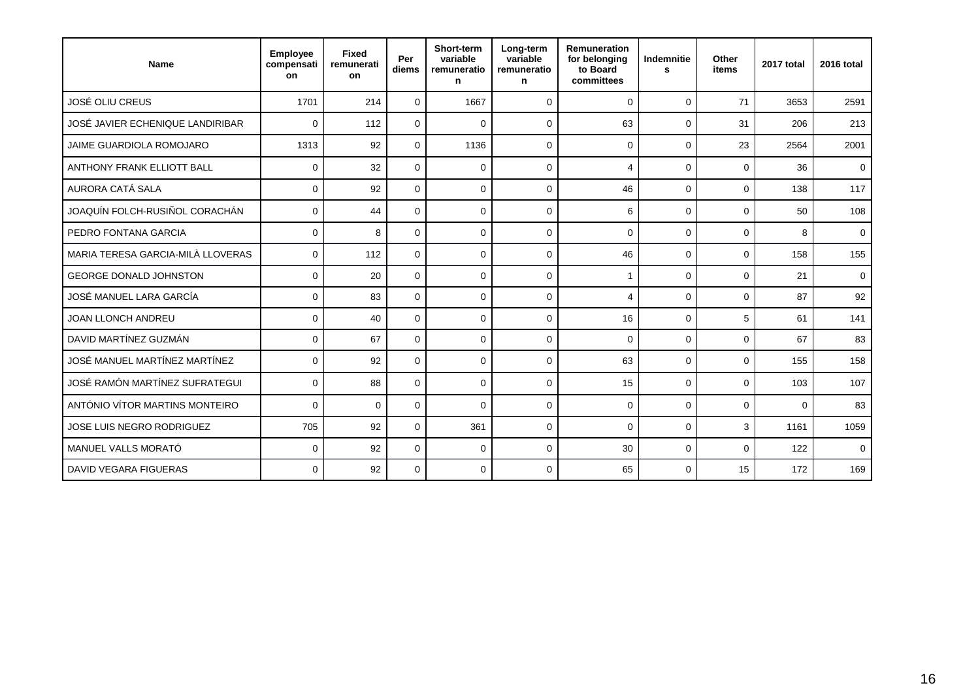| Name                              | <b>Employee</b><br>compensati<br>on | <b>Fixed</b><br>remunerati<br>on | Per<br>diems | Short-term<br>variable<br>remuneratio<br>n | Long-term<br>variable<br>remuneratio<br>n | Remuneration<br>for belonging<br>to Board<br>committees | Indemnitie<br>s | Other<br>items | 2017 total  | 2016 total  |
|-----------------------------------|-------------------------------------|----------------------------------|--------------|--------------------------------------------|-------------------------------------------|---------------------------------------------------------|-----------------|----------------|-------------|-------------|
| JOSÉ OLIU CREUS                   | 1701                                | 214                              | $\mathbf 0$  | 1667                                       | $\Omega$                                  | $\Omega$                                                | $\Omega$        | 71             | 3653        | 2591        |
| JOSÉ JAVIER ECHENIQUE LANDIRIBAR  | $\mathbf 0$                         | 112                              | $\mathbf 0$  | $\Omega$                                   | 0                                         | 63                                                      | $\mathbf 0$     | 31             | 206         | 213         |
| <b>JAIME GUARDIOLA ROMOJARO</b>   | 1313                                | 92                               | $\mathbf 0$  | 1136                                       | $\Omega$                                  | $\mathbf 0$                                             | $\Omega$        | 23             | 2564        | 2001        |
| <b>ANTHONY FRANK ELLIOTT BALL</b> | $\mathbf 0$                         | 32                               | $\mathbf 0$  | $\mathbf 0$                                | $\Omega$                                  | $\overline{4}$                                          | $\mathbf 0$     | $\Omega$       | 36          | $\mathbf 0$ |
| AURORA CATÁ SALA                  | $\Omega$                            | 92                               | $\Omega$     | $\Omega$                                   | $\Omega$                                  | 46                                                      | $\Omega$        | $\Omega$       | 138         | 117         |
| JOAQUÍN FOLCH-RUSIÑOL CORACHÁN    | 0                                   | 44                               | $\mathbf 0$  | $\mathbf 0$                                | $\Omega$                                  | 6                                                       | $\Omega$        | $\Omega$       | 50          | 108         |
| PEDRO FONTANA GARCIA              | $\Omega$                            | 8                                | $\mathbf 0$  | $\Omega$                                   | $\Omega$                                  | $\mathbf 0$                                             | $\Omega$        | $\Omega$       | 8           | $\mathbf 0$ |
| MARIA TERESA GARCIA-MILÀ LLOVERAS | $\Omega$                            | 112                              | $\Omega$     | $\Omega$                                   | $\Omega$                                  | 46                                                      | $\Omega$        | $\Omega$       | 158         | 155         |
| <b>GEORGE DONALD JOHNSTON</b>     | $\mathbf 0$                         | 20                               | $\mathbf 0$  | $\mathbf 0$                                | $\Omega$                                  | 1                                                       | $\Omega$        | $\Omega$       | 21          | $\mathbf 0$ |
| JOSÉ MANUEL LARA GARCÍA           | $\mathbf 0$                         | 83                               | $\mathbf 0$  | $\mathbf 0$                                | 0                                         | 4                                                       | $\mathbf 0$     | $\mathbf 0$    | 87          | 92          |
| <b>JOAN LLONCH ANDREU</b>         | $\mathbf 0$                         | 40                               | $\mathbf 0$  | $\Omega$                                   | $\Omega$                                  | 16                                                      | $\Omega$        | 5              | 61          | 141         |
| DAVID MARTÍNEZ GUZMÁN             | $\mathbf 0$                         | 67                               | $\mathbf 0$  | $\mathbf 0$                                | 0                                         | $\mathbf 0$                                             | $\mathbf 0$     | $\mathbf 0$    | 67          | 83          |
| JOSÉ MANUEL MARTÍNEZ MARTÍNEZ     | $\Omega$                            | 92                               | $\Omega$     | $\Omega$                                   | $\mathbf 0$                               | 63                                                      | $\Omega$        | $\Omega$       | 155         | 158         |
| JOSÉ RAMÓN MARTÍNEZ SUFRATEGUI    | $\mathbf 0$                         | 88                               | $\mathbf 0$  | $\mathbf 0$                                | 0                                         | 15                                                      | $\mathbf 0$     | $\mathbf 0$    | 103         | 107         |
| ANTÓNIO VÍTOR MARTINS MONTEIRO    | $\Omega$                            | $\mathbf 0$                      | $\mathbf 0$  | $\Omega$                                   | $\mathbf 0$                               | 0                                                       | $\mathbf 0$     | $\mathbf 0$    | $\mathbf 0$ | 83          |
| JOSE LUIS NEGRO RODRIGUEZ         | 705                                 | 92                               | $\Omega$     | 361                                        | $\Omega$                                  | $\mathbf 0$                                             | $\Omega$        | 3              | 1161        | 1059        |
| MANUEL VALLS MORATÓ               | $\Omega$                            | 92                               | $\Omega$     | $\Omega$                                   | $\Omega$                                  | 30                                                      | $\Omega$        | $\Omega$       | 122         | $\Omega$    |
| <b>DAVID VEGARA FIGUERAS</b>      | $\Omega$                            | 92                               | $\mathbf 0$  | $\Omega$                                   | $\Omega$                                  | 65                                                      | $\Omega$        | 15             | 172         | 169         |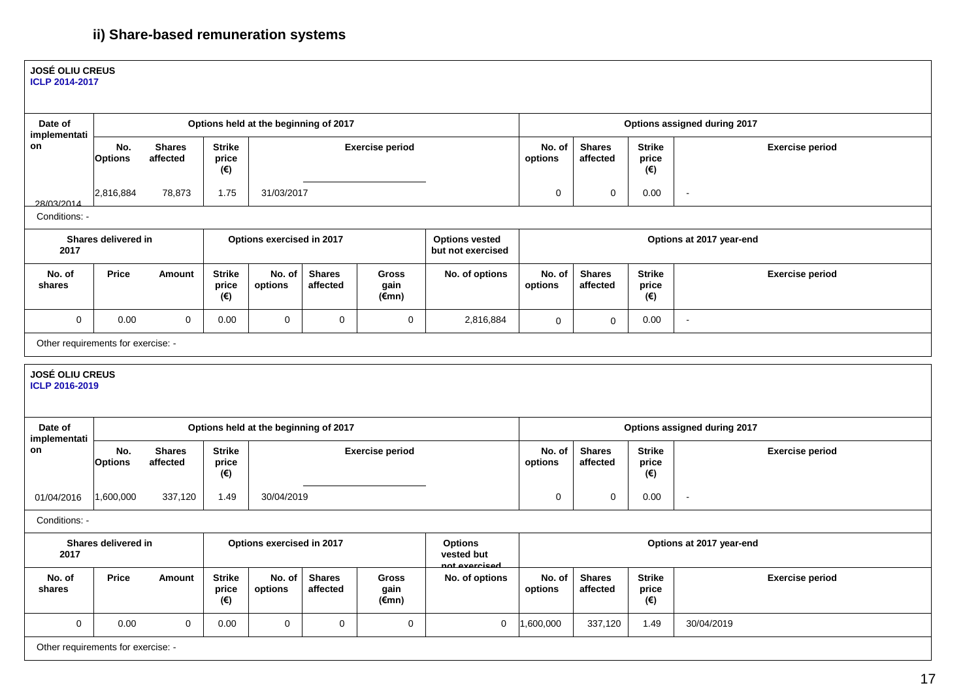# **ii) Share-based remuneration systems**

| <b>JOSÉ OLIU CREUS</b><br><b>ICLP 2014-2017</b>                                                                                    |                       |                           |                                        |                                       |                           |                                         |                |                              |                           |                               |                              |  |
|------------------------------------------------------------------------------------------------------------------------------------|-----------------------|---------------------------|----------------------------------------|---------------------------------------|---------------------------|-----------------------------------------|----------------|------------------------------|---------------------------|-------------------------------|------------------------------|--|
| Date of<br>implementati                                                                                                            |                       |                           |                                        | Options held at the beginning of 2017 |                           |                                         |                | Options assigned during 2017 |                           |                               |                              |  |
| on                                                                                                                                 | No.<br>Options        | <b>Shares</b><br>affected | <b>Strike</b><br>price<br>(€)          |                                       |                           | <b>Exercise period</b>                  |                | No. of<br>options            | <b>Shares</b><br>affected | <b>Strike</b><br>price<br>(€) | <b>Exercise period</b>       |  |
| 28/03/2014                                                                                                                         | 2,816,884             | 78,873                    | 1.75                                   | 31/03/2017                            |                           |                                         |                | $\pmb{0}$                    | $\mathbf 0$               | 0.00                          | $\sim$                       |  |
| Conditions: -                                                                                                                      |                       |                           |                                        |                                       |                           |                                         |                |                              |                           |                               |                              |  |
| Shares delivered in<br>Options exercised in 2017<br><b>Options vested</b><br>Options at 2017 year-end<br>but not exercised<br>2017 |                       |                           |                                        |                                       |                           |                                         |                |                              |                           |                               |                              |  |
| No. of<br>shares                                                                                                                   | <b>Price</b>          | Amount                    | <b>Strike</b><br>price<br>$(\epsilon)$ | No. of<br>options                     | <b>Shares</b><br>affected | <b>Gross</b><br>gain<br>$(\epsilon$ mn) | No. of options | No. of<br>options            | <b>Shares</b><br>affected | <b>Strike</b><br>price<br>(€) | <b>Exercise period</b>       |  |
| $\mathbf 0$                                                                                                                        | 0.00                  | $\mathbf 0$               | 0.00                                   | $\mathbf 0$                           | $\mathbf 0$               | $\mathbf 0$                             | 2,816,884      | $\mathsf{O}\xspace$          | $\mathbf 0$               | 0.00                          | $\omega$                     |  |
| Other requirements for exercise: -                                                                                                 |                       |                           |                                        |                                       |                           |                                         |                |                              |                           |                               |                              |  |
| <b>JOSÉ OLIU CREUS</b><br>ICLP 2016-2019                                                                                           |                       |                           |                                        |                                       |                           |                                         |                |                              |                           |                               |                              |  |
| Date of<br>implementati                                                                                                            |                       |                           |                                        | Options held at the beginning of 2017 |                           |                                         |                |                              |                           |                               | Options assigned during 2017 |  |
| on                                                                                                                                 | No.<br><b>Options</b> | <b>Shares</b><br>affected | <b>Strike</b><br>price<br>(€)          |                                       |                           | <b>Exercise period</b>                  |                | No. of<br>options            | <b>Shares</b><br>affected | <b>Strike</b><br>price<br>(€) | <b>Exercise period</b>       |  |
| 01/04/2016                                                                                                                         | 1,600,000             | 337,120                   | 1.49                                   | 30/04/2019                            |                           |                                         |                | $\mathsf 0$                  | $\mathbf 0$               | 0.00                          | $\sim$                       |  |
| Conditions: -                                                                                                                      |                       |                           |                                        |                                       |                           |                                         |                |                              |                           |                               |                              |  |
| Shares delivered in<br>Options exercised in 2017<br><b>Options</b><br>2017<br>vested but<br>hazinaya ton                           |                       |                           |                                        |                                       |                           |                                         |                |                              |                           |                               | Options at 2017 year-end     |  |
| No. of<br>shares                                                                                                                   | <b>Price</b>          | <b>Amount</b>             | <b>Strike</b><br>price<br>(€)          | No. of<br>options                     | <b>Shares</b><br>affected | <b>Gross</b><br>gain<br>$(\epsilon$ mn) | No. of options | No. of<br>options            | <b>Shares</b><br>affected | <b>Strike</b><br>price<br>(€) | <b>Exercise period</b>       |  |
| $\mathbf 0$                                                                                                                        | 0.00                  | $\mathbf 0$               | 0.00                                   | $\mathbf 0$                           | $\mathbf 0$               | $\mathbf 0$                             | $\mathbf 0$    | 1,600,000                    | 337,120                   | 1.49                          | 30/04/2019                   |  |
| Other requirements for exercise: -                                                                                                 |                       |                           |                                        |                                       |                           |                                         |                |                              |                           |                               |                              |  |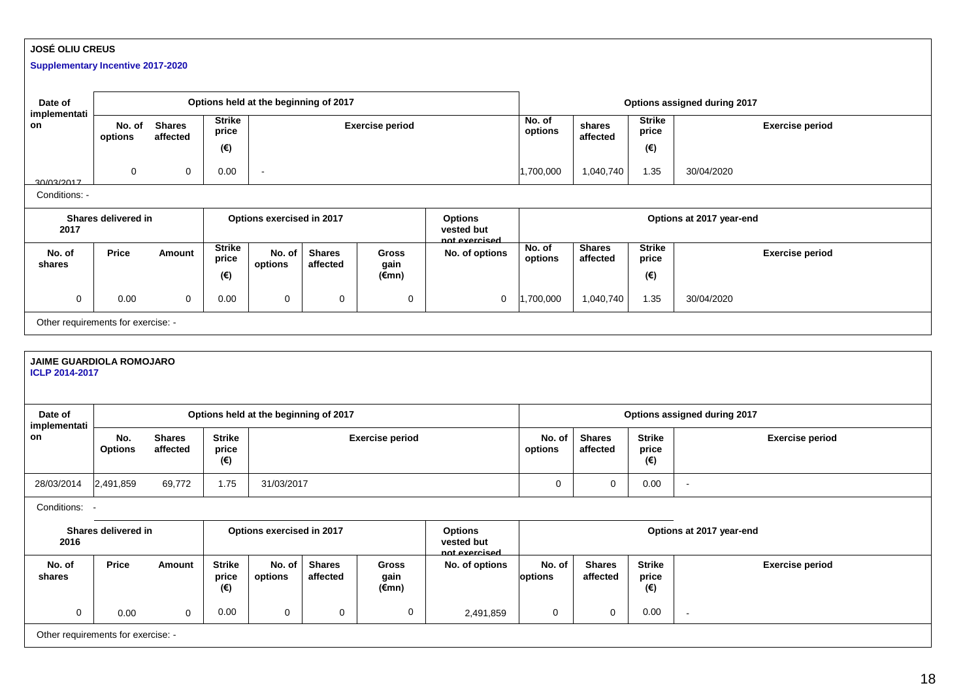### **JOSÉ OLIU CREUS**

#### **Supplementary Incentive 2017-2020**

| Date of                                                                                                                               |                                                                                                   |                           |                                        | Options held at the beginning of 2017                                                             |                           |                        |                |                   | Options assigned during 2017 |                               |                              |  |  |
|---------------------------------------------------------------------------------------------------------------------------------------|---------------------------------------------------------------------------------------------------|---------------------------|----------------------------------------|---------------------------------------------------------------------------------------------------|---------------------------|------------------------|----------------|-------------------|------------------------------|-------------------------------|------------------------------|--|--|
| implementati<br>on                                                                                                                    | No. of<br>options                                                                                 | <b>Shares</b><br>affected | <b>Strike</b><br>price                 |                                                                                                   |                           | <b>Exercise period</b> |                | No. of<br>options | shares<br>affected           | <b>Strike</b><br>price        | <b>Exercise period</b>       |  |  |
|                                                                                                                                       |                                                                                                   |                           | $(\epsilon)$                           |                                                                                                   |                           |                        |                |                   |                              | (€)                           |                              |  |  |
| 30/03/2017                                                                                                                            | $\mathbf 0$                                                                                       | $\mathbf 0$               | 0.00                                   | $\sim$                                                                                            |                           |                        |                | 1,700,000         | 1,040,740                    | 1.35                          | 30/04/2020                   |  |  |
| Conditions: -                                                                                                                         |                                                                                                   |                           |                                        |                                                                                                   |                           |                        |                |                   |                              |                               |                              |  |  |
| 2017                                                                                                                                  | Shares delivered in<br>Options exercised in 2017<br><b>Options</b><br>vested but<br>not exercised |                           |                                        |                                                                                                   |                           |                        |                |                   |                              |                               | Options at 2017 year-end     |  |  |
| No. of<br>shares                                                                                                                      | Price                                                                                             | Amount                    | <b>Strike</b><br>price                 | No. of<br>options                                                                                 | <b>Shares</b><br>affected | <b>Gross</b><br>gain   | No. of options | No. of<br>options | <b>Shares</b><br>affected    | <b>Strike</b><br>price        | <b>Exercise period</b>       |  |  |
|                                                                                                                                       |                                                                                                   |                           | $(\epsilon)$                           |                                                                                                   |                           | (€mn)                  |                |                   |                              | (€)                           |                              |  |  |
| $\mathbf 0$                                                                                                                           | 0.00                                                                                              | $\Omega$                  | 0.00                                   | $\overline{0}$                                                                                    | $\mathbf 0$               | $\mathbf 0$            | $\mathbf 0$    | ,700,000          | 1,040,740                    | 1.35                          | 30/04/2020                   |  |  |
| Other requirements for exercise: -                                                                                                    |                                                                                                   |                           |                                        |                                                                                                   |                           |                        |                |                   |                              |                               |                              |  |  |
|                                                                                                                                       |                                                                                                   |                           |                                        |                                                                                                   |                           |                        |                |                   |                              |                               |                              |  |  |
| <b>JAIME GUARDIOLA ROMOJARO</b><br><b>ICLP 2014-2017</b>                                                                              |                                                                                                   |                           |                                        |                                                                                                   |                           |                        |                |                   |                              |                               |                              |  |  |
| Date of                                                                                                                               |                                                                                                   |                           |                                        | Options held at the beginning of 2017                                                             |                           |                        |                |                   |                              |                               | Options assigned during 2017 |  |  |
| implementati<br>on                                                                                                                    | No.<br><b>Options</b>                                                                             | <b>Shares</b><br>affected | <b>Strike</b><br>price<br>(€)          |                                                                                                   |                           | <b>Exercise period</b> |                | No. of<br>options | <b>Shares</b><br>affected    | <b>Strike</b><br>price<br>(€) | <b>Exercise period</b>       |  |  |
| 28/03/2014                                                                                                                            | 2,491,859                                                                                         | 69,772                    | 1.75                                   | 31/03/2017                                                                                        |                           |                        |                | $\mathbf 0$       | $\mathbf 0$                  | 0.00                          | $\sim$                       |  |  |
| Conditions:                                                                                                                           |                                                                                                   |                           |                                        |                                                                                                   |                           |                        |                |                   |                              |                               |                              |  |  |
| Shares delivered in<br>Options exercised in 2017<br><b>Options</b><br>Options at 2017 year-end<br>vested but<br>2016<br>not exercised |                                                                                                   |                           |                                        |                                                                                                   |                           |                        |                |                   |                              |                               |                              |  |  |
| No. of<br>shares                                                                                                                      | Price                                                                                             | <b>Amount</b>             | <b>Strike</b><br>price<br>$(\epsilon)$ | <b>Shares</b><br>No. of<br><b>Gross</b><br>No. of options<br>affected<br>options<br>gain<br>(€mn) |                           |                        |                | No. of<br>options | <b>Shares</b><br>affected    | <b>Strike</b><br>price<br>(€) | <b>Exercise period</b>       |  |  |
| $\mathbf 0$                                                                                                                           | 0.00                                                                                              | $\Omega$                  | 0.00                                   | $\mathbf 0$                                                                                       | $\mathbf 0$               | 0                      | 2,491,859      | $\mathbf 0$       | $\mathbf 0$                  | 0.00                          | $\sim$                       |  |  |
| Other requirements for exercise: -                                                                                                    |                                                                                                   |                           |                                        |                                                                                                   |                           |                        |                |                   |                              |                               |                              |  |  |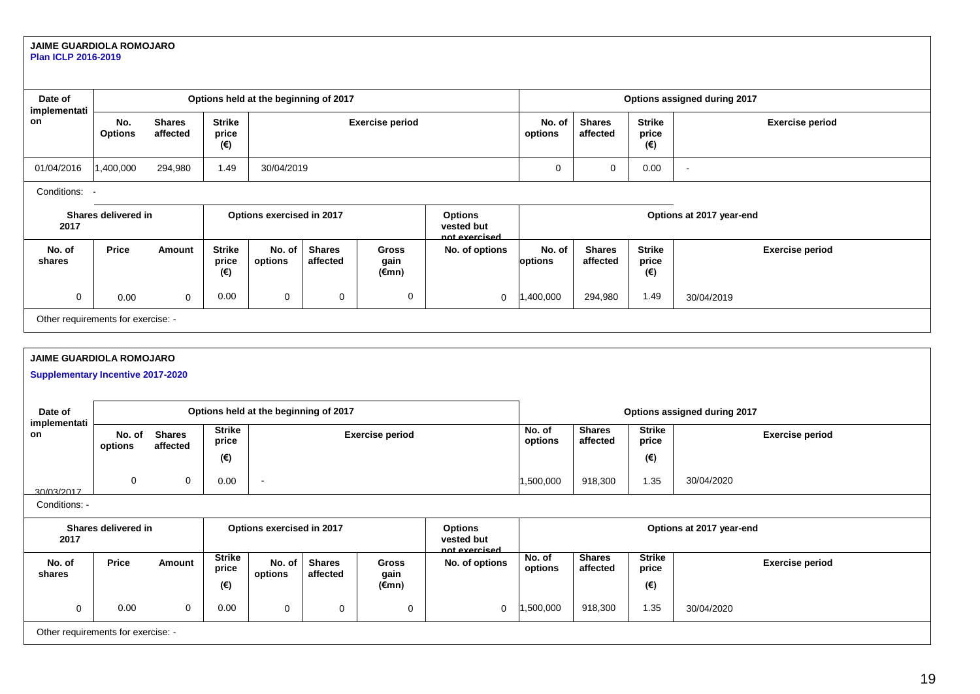#### **JAIME GUARDIOLA ROMOJARO Plan ICLP 2016-2019**

| Date of<br>implementati            |                       |                           |                               |                           | Options held at the beginning of 2017 |                               |                                               | Options assigned during 2017 |                           |                               |                          |  |
|------------------------------------|-----------------------|---------------------------|-------------------------------|---------------------------|---------------------------------------|-------------------------------|-----------------------------------------------|------------------------------|---------------------------|-------------------------------|--------------------------|--|
| on                                 | No.<br><b>Options</b> | <b>Shares</b><br>affected | <b>Strike</b><br>price<br>(€) |                           |                                       | <b>Exercise period</b>        |                                               | No. of<br>options            | <b>Shares</b><br>affected | <b>Strike</b><br>price<br>(€) | <b>Exercise period</b>   |  |
| 01/04/2016                         | 1,400,000             | 294,980                   | 1.49                          | 30/04/2019                |                                       |                               |                                               | 0                            | 0                         | 0.00                          | $\overline{\phantom{a}}$ |  |
| Conditions:                        |                       |                           |                               |                           |                                       |                               |                                               |                              |                           |                               |                          |  |
| 2017                               | Shares delivered in   |                           |                               | Options exercised in 2017 |                                       |                               | <b>Options</b><br>vested but<br>not exercised |                              |                           |                               | Options at 2017 year-end |  |
| No. of<br>shares                   | Price                 | Amount                    | <b>Strike</b><br>price<br>(€) | No. of<br>options         | <b>Shares</b><br>affected             | <b>Gross</b><br>gain<br>(€mn) | No. of options                                | No. of<br>options            | <b>Shares</b><br>affected | <b>Strike</b><br>price<br>(€) | <b>Exercise period</b>   |  |
| 0                                  | 0.00                  | $\mathbf 0$               | 0.00                          | 0                         | 0                                     | 0                             | $\mathbf 0$                                   | ,400,000                     | 294,980                   | 1.49                          | 30/04/2019               |  |
| Other requirements for exercise: - |                       |                           |                               |                           |                                       |                               |                                               |                              |                           |                               |                          |  |

### **JAIME GUARDIOLA ROMOJARO**

**Supplementary Incentive 2017-2020**

| Date of<br>implementati |                                    |                           |                        | Options held at the beginning of 2017 |                           |                      |                                               | Options assigned during 2017 |                           |                        |                        |  |
|-------------------------|------------------------------------|---------------------------|------------------------|---------------------------------------|---------------------------|----------------------|-----------------------------------------------|------------------------------|---------------------------|------------------------|------------------------|--|
| on                      | No. of<br>options                  | <b>Shares</b><br>affected | <b>Strike</b><br>price |                                       | <b>Exercise period</b>    |                      |                                               |                              | <b>Shares</b><br>affected | <b>Strike</b><br>price | <b>Exercise period</b> |  |
|                         |                                    |                           | (€)                    |                                       |                           |                      |                                               |                              |                           | $(\epsilon)$           |                        |  |
| 30/03/2017              | 0                                  | 0                         | 0.00                   | $\overline{\phantom{a}}$              |                           |                      |                                               | 1,500,000                    | 918,300                   | 1.35                   | 30/04/2020             |  |
| Conditions: -           |                                    |                           |                        |                                       |                           |                      |                                               |                              |                           |                        |                        |  |
| 2017                    | Shares delivered in                |                           |                        | Options exercised in 2017             |                           |                      | <b>Options</b><br>vested but<br>not exercised | Options at 2017 year-end     |                           |                        |                        |  |
| No. of<br>shares        | <b>Price</b>                       | <b>Amount</b>             | <b>Strike</b><br>price | No. of<br>options                     | <b>Shares</b><br>affected | <b>Gross</b><br>gain | No. of options                                | No. of<br>options            | <b>Shares</b><br>affected | <b>Strike</b><br>price | <b>Exercise period</b> |  |
|                         |                                    |                           | (€)                    |                                       |                           | (€mn)                |                                               |                              |                           | (€)                    |                        |  |
| 0                       | 0.00                               | $\mathbf 0$               | 0.00                   | $\mathbf 0$                           | 0                         | 0                    | 0                                             | 1,500,000                    | 918,300                   | 1.35                   | 30/04/2020             |  |
|                         | Other requirements for exercise: - |                           |                        |                                       |                           |                      |                                               |                              |                           |                        |                        |  |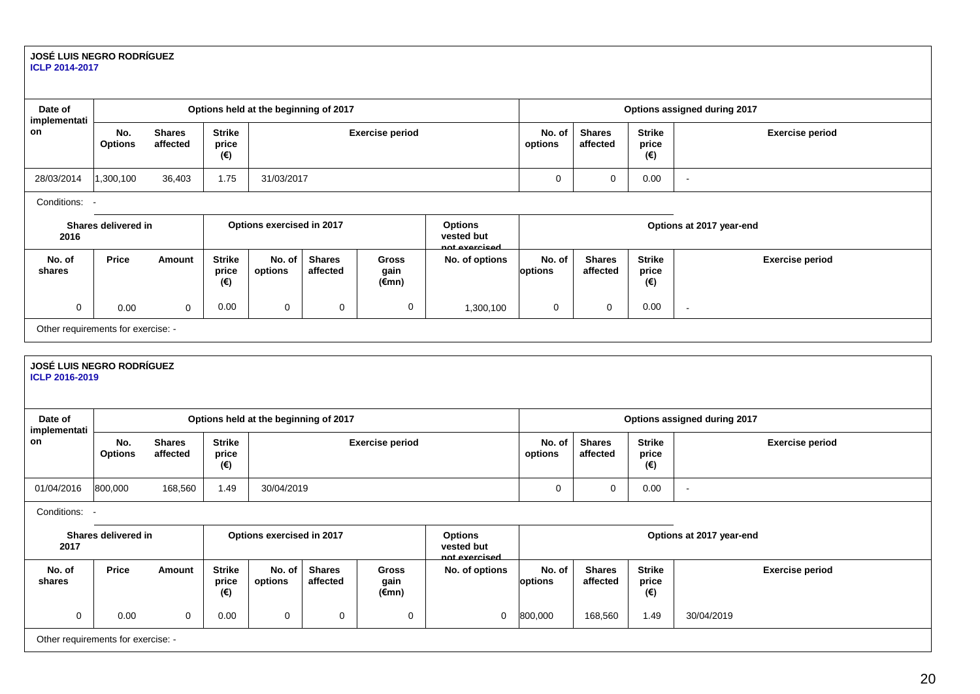#### **JOSÉ LUIS NEGRO RODRÍGUEZ ICLP 2014-2017**

| Date of<br>implementati |                                    |                           |                               | Options held at the beginning of 2017 |                           |                               |                                               | Options assigned during 2017 |                               |                               |                          |  |
|-------------------------|------------------------------------|---------------------------|-------------------------------|---------------------------------------|---------------------------|-------------------------------|-----------------------------------------------|------------------------------|-------------------------------|-------------------------------|--------------------------|--|
| on                      | No.<br><b>Options</b>              | <b>Shares</b><br>affected | <b>Strike</b><br>price<br>(€) |                                       |                           | <b>Exercise period</b>        | No. of<br>options                             | <b>Shares</b><br>affected    | <b>Strike</b><br>price<br>(€) | <b>Exercise period</b>        |                          |  |
| 28/03/2014              | 1,300,100                          | 36,403                    | 1.75                          | 31/03/2017                            |                           |                               |                                               | 0                            | $\mathbf 0$                   | 0.00                          | $\overline{\phantom{a}}$ |  |
| Conditions:             |                                    |                           |                               |                                       |                           |                               |                                               |                              |                               |                               |                          |  |
| 2016                    | Shares delivered in                |                           |                               | Options exercised in 2017             |                           |                               | <b>Options</b><br>vested but<br>hot exercised |                              |                               |                               | Options at 2017 year-end |  |
| No. of<br>shares        | <b>Price</b>                       | Amount                    | <b>Strike</b><br>price<br>(€) | No. of<br>options                     | <b>Shares</b><br>affected | <b>Gross</b><br>gain<br>(€mn) | No. of options                                | No. of<br>options            | <b>Shares</b><br>affected     | <b>Strike</b><br>price<br>(€) | <b>Exercise period</b>   |  |
| 0                       | 0.00                               | 0                         | 0.00                          | 0                                     | 0                         | 0                             | 1,300,100                                     | 0                            | 0                             | 0.00                          | $\overline{\phantom{a}}$ |  |
|                         | Other requirements for exercise: - |                           |                               |                                       |                           |                               |                                               |                              |                               |                               |                          |  |

#### **JOSÉ LUIS NEGRO RODRÍGUEZ ICLP 2016-2019**

| Date of<br>implementati |                                                                                 |                           |                               |                           | Options held at the beginning of 2017 |                               |                                               | Options assigned during 2017 |                           |                               |                          |  |
|-------------------------|---------------------------------------------------------------------------------|---------------------------|-------------------------------|---------------------------|---------------------------------------|-------------------------------|-----------------------------------------------|------------------------------|---------------------------|-------------------------------|--------------------------|--|
| on                      | No.<br><b>Options</b>                                                           | <b>Shares</b><br>affected | <b>Strike</b><br>price<br>(€) |                           |                                       | <b>Exercise period</b>        |                                               | No. of<br>options            | <b>Shares</b><br>affected | <b>Strike</b><br>price<br>(€) | <b>Exercise period</b>   |  |
| 01/04/2016              | 800,000                                                                         | 168,560                   | 1.49                          | 30/04/2019                |                                       |                               |                                               | 0                            | $\mathbf 0$               | 0.00                          | $\sim$                   |  |
| Conditions:             |                                                                                 |                           |                               |                           |                                       |                               |                                               |                              |                           |                               |                          |  |
| 2017                    | Shares delivered in                                                             |                           |                               | Options exercised in 2017 |                                       |                               | <b>Options</b><br>vested but<br>not exercised |                              |                           |                               | Options at 2017 year-end |  |
| No. of<br>shares        | Price                                                                           | Amount                    | <b>Strike</b><br>price<br>(€) | No. of<br>options         | <b>Shares</b><br>affected             | <b>Gross</b><br>gain<br>(€mn) | No. of options                                | No. of<br>options            | <b>Shares</b><br>affected | <b>Strike</b><br>price<br>(€) | <b>Exercise period</b>   |  |
| 0                       | 800,000<br>$\mathbf 0$<br>0.00<br>$\mathbf 0$<br>168,560<br>0.00<br>0<br>0<br>0 |                           |                               |                           |                                       |                               |                                               |                              | 1.49                      | 30/04/2019                    |                          |  |
|                         | Other requirements for exercise: -                                              |                           |                               |                           |                                       |                               |                                               |                              |                           |                               |                          |  |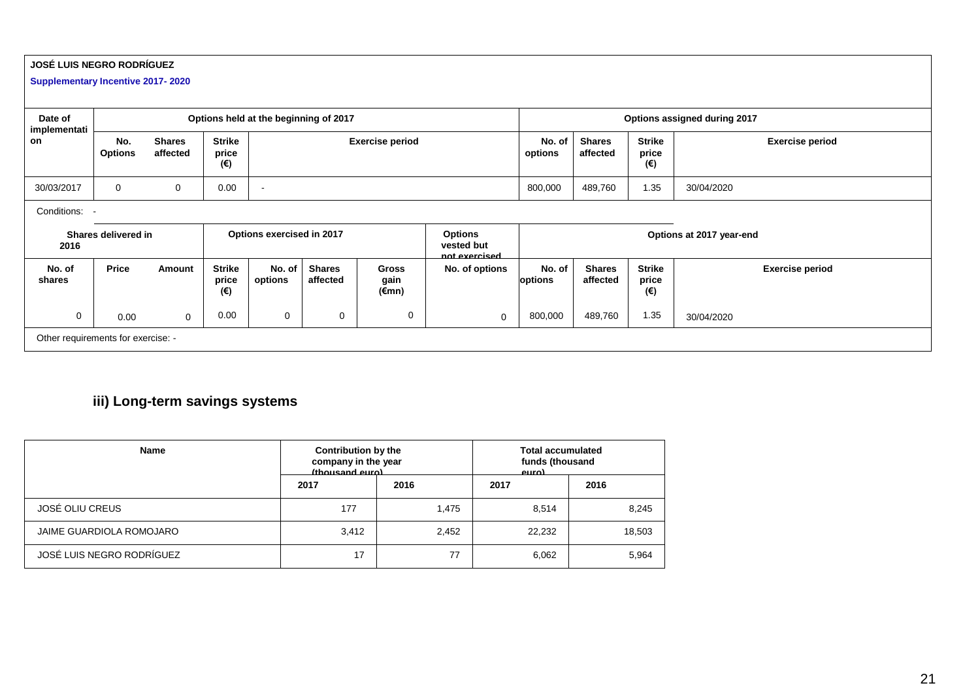### **JOSÉ LUIS NEGRO RODRÍGUEZ**

**Supplementary Incentive 2017- 2020**

| Date of<br>implementati |                                    |                           |                               | Options held at the beginning of 2017 |                           |                               |                                               | Options assigned during 2017             |                           |                               |                          |  |
|-------------------------|------------------------------------|---------------------------|-------------------------------|---------------------------------------|---------------------------|-------------------------------|-----------------------------------------------|------------------------------------------|---------------------------|-------------------------------|--------------------------|--|
| on                      | No.<br><b>Options</b>              | <b>Shares</b><br>affected | <b>Strike</b><br>price<br>(€) |                                       | <b>Exercise period</b>    |                               |                                               |                                          | <b>Shares</b><br>affected | <b>Strike</b><br>price<br>(€) | <b>Exercise period</b>   |  |
| 30/03/2017              | 0                                  | 0                         | 0.00                          | $\overline{\phantom{a}}$              |                           |                               |                                               | 800,000                                  | 489,760                   | 1.35                          | 30/04/2020               |  |
|                         | Conditions:                        |                           |                               |                                       |                           |                               |                                               |                                          |                           |                               |                          |  |
| 2016                    | Shares delivered in                |                           |                               | Options exercised in 2017             |                           |                               | <b>Options</b><br>vested but<br>not exercised |                                          |                           |                               | Options at 2017 year-end |  |
| No. of<br>shares        | Price                              | Amount                    | <b>Strike</b><br>price<br>(€) | No. of<br>options                     | <b>Shares</b><br>affected | <b>Gross</b><br>gain<br>(€mn) | No. of options                                | No. of<br>options                        | <b>Shares</b><br>affected | <b>Strike</b><br>price<br>(€) | <b>Exercise period</b>   |  |
| 0                       | 0.00                               | $\mathbf 0$               | 0.00                          | $\mathbf 0$                           | $\mathbf 0$               | 0                             | $\mathbf 0$                                   | 1.35<br>489,760<br>800,000<br>30/04/2020 |                           |                               |                          |  |
|                         | Other requirements for exercise: - |                           |                               |                                       |                           |                               |                                               |                                          |                           |                               |                          |  |

# **iii) Long-term savings systems**

| Name                      | <b>Contribution by the</b><br>company in the year<br>(thousand euro) |       | <b>Total accumulated</b><br>funds (thousand<br>P(II) |        |  |  |
|---------------------------|----------------------------------------------------------------------|-------|------------------------------------------------------|--------|--|--|
|                           | 2017                                                                 | 2016  | 2017                                                 | 2016   |  |  |
| JOSÉ OLIU CREUS           | 177                                                                  | 1,475 | 8,514                                                | 8,245  |  |  |
| JAIME GUARDIOLA ROMOJARO  | 3,412                                                                | 2,452 | 22,232                                               | 18,503 |  |  |
| JOSÉ LUIS NEGRO RODRÍGUEZ | 17                                                                   | 77    | 6,062                                                | 5,964  |  |  |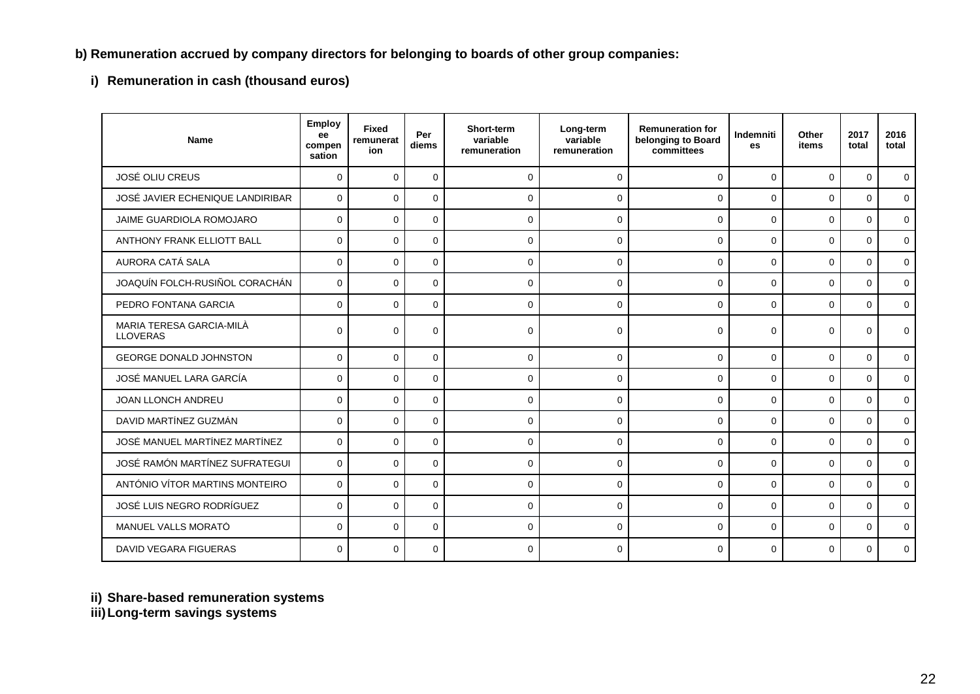# **b) Remuneration accrued by company directors for belonging to boards of other group companies:**

**i) Remuneration in cash (thousand euros)**

| Name                                        | <b>Employ</b><br>ee<br>compen<br>sation | <b>Fixed</b><br>remunerat<br>ion | Per<br>diems | Short-term<br>variable<br>remuneration | Long-term<br>variable<br>remuneration | <b>Remuneration for</b><br>belonging to Board<br>committees | <b>Indemniti</b><br><b>es</b> | Other<br>items | 2017<br>total | 2016<br>total |
|---------------------------------------------|-----------------------------------------|----------------------------------|--------------|----------------------------------------|---------------------------------------|-------------------------------------------------------------|-------------------------------|----------------|---------------|---------------|
| <b>JOSÉ OLIU CREUS</b>                      | $\Omega$                                | $\Omega$                         | $\Omega$     | $\Omega$                               | $\Omega$                              | $\Omega$                                                    | $\Omega$                      | $\Omega$       | $\Omega$      | $\mathbf 0$   |
| JOSÉ JAVIER ECHENIQUE LANDIRIBAR            | $\Omega$                                | $\Omega$                         | $\Omega$     | $\mathbf 0$                            | $\Omega$                              | $\Omega$                                                    | $\Omega$                      | $\mathbf 0$    | $\Omega$      | 0             |
| JAIME GUARDIOLA ROMOJARO                    | $\Omega$                                | $\Omega$                         | $\Omega$     | $\mathbf 0$                            | $\Omega$                              | $\Omega$                                                    | $\Omega$                      | $\Omega$       | $\Omega$      | $\mathbf 0$   |
| <b>ANTHONY FRANK ELLIOTT BALL</b>           | $\Omega$                                | $\mathbf 0$                      | $\Omega$     | $\mathbf 0$                            | $\Omega$                              | $\Omega$                                                    | $\Omega$                      | $\Omega$       | $\Omega$      | 0             |
| AURORA CATÁ SALA                            | $\Omega$                                | $\Omega$                         | $\Omega$     | $\mathbf 0$                            | $\Omega$                              | $\Omega$                                                    | $\Omega$                      | $\Omega$       | $\Omega$      | $\mathbf 0$   |
| JOAQUÍN FOLCH-RUSIÑOL CORACHÁN              | $\Omega$                                | $\mathbf 0$                      | $\Omega$     | $\mathbf 0$                            | $\mathbf 0$                           | $\Omega$                                                    | $\Omega$                      | $\mathbf 0$    | $\Omega$      | 0             |
| PEDRO FONTANA GARCIA                        | $\mathbf 0$                             | $\mathbf 0$                      | $\mathbf 0$  | $\mathbf 0$                            | $\mathbf 0$                           | 0                                                           | $\mathbf{0}$                  | $\mathbf 0$    | $\mathbf 0$   | $\mathbf 0$   |
| MARIA TERESA GARCIA-MILÀ<br><b>LLOVERAS</b> | $\Omega$                                | $\mathbf 0$                      | $\mathbf 0$  | $\mathbf 0$                            | $\mathbf 0$                           | $\Omega$                                                    | 0                             | $\mathbf 0$    | $\mathbf 0$   | $\mathbf 0$   |
| <b>GEORGE DONALD JOHNSTON</b>               | $\Omega$                                | $\Omega$                         | $\Omega$     | $\Omega$                               | $\Omega$                              | $\Omega$                                                    | $\Omega$                      | $\Omega$       | $\Omega$      | $\mathbf 0$   |
| JOSÉ MANUEL LARA GARCÍA                     | $\Omega$                                | $\mathbf 0$                      | $\mathbf 0$  | $\mathbf 0$                            | $\Omega$                              | $\Omega$                                                    | $\Omega$                      | $\mathbf 0$    | $\Omega$      | 0             |
| JOAN LLONCH ANDREU                          | $\Omega$                                | 0                                | $\Omega$     | $\mathbf 0$                            | $\mathbf 0$                           | $\Omega$                                                    | $\Omega$                      | $\Omega$       | $\Omega$      | $\mathsf{O}$  |
| DAVID MARTÍNEZ GUZMÁN                       | $\Omega$                                | $\mathbf 0$                      | $\Omega$     | $\mathbf 0$                            | $\mathbf 0$                           | $\Omega$                                                    | 0                             | $\Omega$       | $\Omega$      | 0             |
| JOSÉ MANUEL MARTÍNEZ MARTÍNEZ               | $\Omega$                                | $\Omega$                         | $\Omega$     | $\mathbf 0$                            | $\mathbf 0$                           | $\Omega$                                                    | $\Omega$                      | $\Omega$       | $\Omega$      | $\mathbf 0$   |
| JOSÉ RAMÓN MARTÍNEZ SUFRATEGUI              | $\Omega$                                | $\mathbf 0$                      | $\Omega$     | $\mathbf 0$                            | $\mathbf 0$                           | $\Omega$                                                    | $\Omega$                      | $\mathbf 0$    | $\Omega$      | 0             |
| ANTÓNIO VÍTOR MARTINS MONTEIRO              | $\Omega$                                | $\mathbf 0$                      | $\Omega$     | $\mathbf 0$                            | $\mathbf 0$                           | $\Omega$                                                    | $\Omega$                      | $\Omega$       | $\Omega$      | $\mathsf{O}$  |
| JOSÉ LUIS NEGRO RODRÍGUEZ                   | $\Omega$                                | $\Omega$                         | $\Omega$     | $\Omega$                               | $\Omega$                              | $\Omega$                                                    | $\Omega$                      | $\Omega$       | $\Omega$      | $\mathbf 0$   |
| MANUEL VALLS MORATÓ                         | $\mathbf 0$                             | $\mathbf 0$                      | $\mathbf 0$  | $\mathbf 0$                            | $\mathbf 0$                           | $\Omega$                                                    | $\mathbf{0}$                  | $\mathbf 0$    | $\mathbf 0$   | $\mathbf 0$   |
| <b>DAVID VEGARA FIGUERAS</b>                | $\Omega$                                | $\Omega$                         | $\Omega$     | $\Omega$                               | $\Omega$                              | $\Omega$                                                    | $\Omega$                      | $\Omega$       | $\Omega$      | $\mathbf 0$   |

**ii) Share-based remuneration systems**

**iii)Long-term savings systems**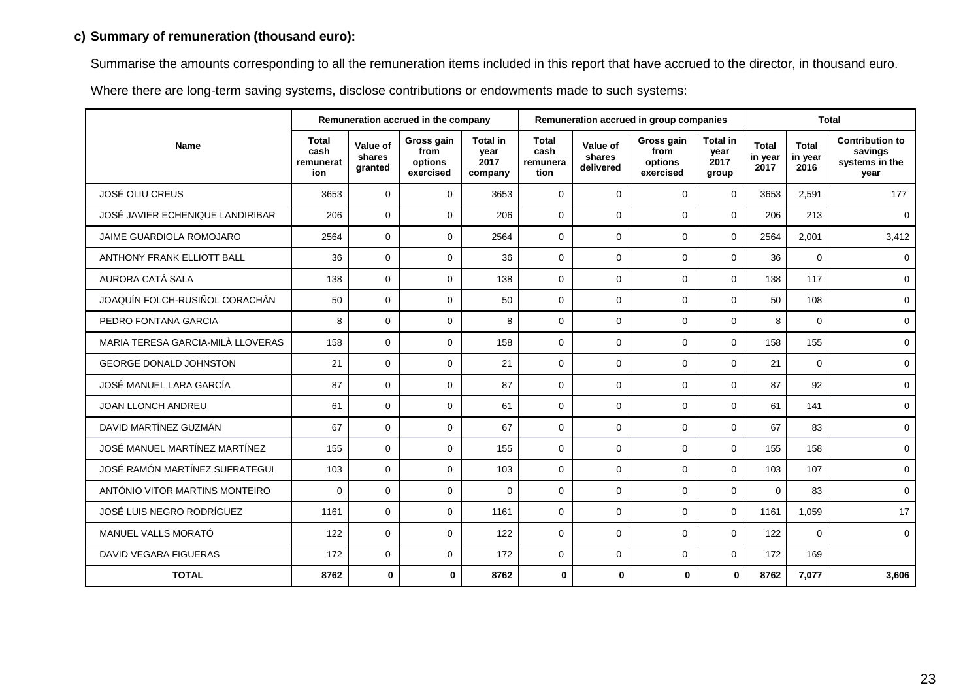# **c) Summary of remuneration (thousand euro):**

Summarise the amounts corresponding to all the remuneration items included in this report that have accrued to the director, in thousand euro.

Where there are long-term saving systems, disclose contributions or endowments made to such systems:

|                                   | Remuneration accrued in the company      |                               |                                            |                                            | Remuneration accrued in group companies  |                                 |                                            |                                          | <b>Total</b>                    |                                 |                                                             |
|-----------------------------------|------------------------------------------|-------------------------------|--------------------------------------------|--------------------------------------------|------------------------------------------|---------------------------------|--------------------------------------------|------------------------------------------|---------------------------------|---------------------------------|-------------------------------------------------------------|
| <b>Name</b>                       | <b>Total</b><br>cash<br>remunerat<br>ion | Value of<br>shares<br>granted | Gross gain<br>from<br>options<br>exercised | <b>Total in</b><br>year<br>2017<br>company | <b>Total</b><br>cash<br>remunera<br>tion | Value of<br>shares<br>delivered | Gross gain<br>from<br>options<br>exercised | <b>Total in</b><br>year<br>2017<br>group | <b>Total</b><br>in year<br>2017 | <b>Total</b><br>in year<br>2016 | <b>Contribution to</b><br>savings<br>systems in the<br>year |
| <b>JOSÉ OLIU CREUS</b>            | 3653                                     | $\Omega$                      | $\mathbf 0$                                | 3653                                       | $\mathbf 0$                              | $\mathbf 0$                     | $\mathbf 0$                                | $\mathbf 0$                              | 3653                            | 2,591                           | 177                                                         |
| JOSÉ JAVIER ECHENIQUE LANDIRIBAR  | 206                                      | $\mathbf 0$                   | $\mathbf 0$                                | 206                                        | $\mathbf 0$                              | $\mathbf 0$                     | $\mathbf 0$                                | $\mathbf 0$                              | 206                             | 213                             | $\mathbf{0}$                                                |
| JAIME GUARDIOLA ROMOJARO          | 2564                                     | $\Omega$                      | $\Omega$                                   | 2564                                       | $\Omega$                                 | $\mathbf 0$                     | $\mathbf 0$                                | $\Omega$                                 | 2564                            | 2,001                           | 3,412                                                       |
| <b>ANTHONY FRANK ELLIOTT BALL</b> | 36                                       | $\Omega$                      | $\Omega$                                   | 36                                         | $\Omega$                                 | $\Omega$                        | $\mathbf 0$                                | $\Omega$                                 | 36                              | $\Omega$                        | $\Omega$                                                    |
| AURORA CATÁ SALA                  | 138                                      | $\mathbf{0}$                  | $\mathbf 0$                                | 138                                        | $\mathbf 0$                              | $\mathbf 0$                     | $\mathbf 0$                                | $\mathbf 0$                              | 138                             | 117                             | 0                                                           |
| JOAQUÍN FOLCH-RUSIÑOL CORACHÁN    | 50                                       | $\mathbf 0$                   | $\mathbf 0$                                | 50                                         | $\mathbf 0$                              | $\mathbf 0$                     | $\mathbf 0$                                | $\mathbf 0$                              | 50                              | 108                             | $\mathbf 0$                                                 |
| PEDRO FONTANA GARCIA              | 8                                        | $\Omega$                      | $\Omega$                                   | 8                                          | $\Omega$                                 | $\Omega$                        | $\mathbf 0$                                | $\mathbf 0$                              | 8                               | $\Omega$                        | $\mathbf 0$                                                 |
| MARIA TERESA GARCIA-MILÀ LLOVERAS | 158                                      | $\Omega$                      | $\Omega$                                   | 158                                        | $\Omega$                                 | $\mathbf 0$                     | $\mathbf 0$                                | $\mathbf 0$                              | 158                             | 155                             | 0                                                           |
| GEORGE DONALD JOHNSTON            | 21                                       | $\mathbf{0}$                  | $\mathbf 0$                                | 21                                         | $\Omega$                                 | $\mathbf 0$                     | $\mathbf 0$                                | $\mathbf{0}$                             | 21                              | $\mathbf{0}$                    | $\mathbf 0$                                                 |
| JOSÉ MANUEL LARA GARCÍA           | 87                                       | $\Omega$                      | $\mathbf 0$                                | 87                                         | $\mathbf 0$                              | $\mathbf 0$                     | $\mathbf 0$                                | $\mathbf 0$                              | 87                              | 92                              | 0                                                           |
| JOAN LLONCH ANDREU                | 61                                       | $\Omega$                      | 0                                          | 61                                         | $\Omega$                                 | $\mathbf 0$                     | $\mathbf 0$                                | $\mathbf 0$                              | 61                              | 141                             | 0                                                           |
| DAVID MARTÍNEZ GUZMÁN             | 67                                       | $\Omega$                      | $\Omega$                                   | 67                                         | $\Omega$                                 | $\mathbf 0$                     | $\mathbf 0$                                | $\Omega$                                 | 67                              | 83                              | $\mathbf 0$                                                 |
| JOSÉ MANUEL MARTÍNEZ MARTÍNEZ     | 155                                      | $\mathbf 0$                   | $\mathbf 0$                                | 155                                        | $\mathbf 0$                              | $\mathbf 0$                     | $\mathbf 0$                                | $\mathbf 0$                              | 155                             | 158                             | $\mathbf 0$                                                 |
| JOSÉ RAMÓN MARTÍNEZ SUFRATEGUI    | 103                                      | $\mathbf 0$                   | $\mathbf 0$                                | 103                                        | $\mathbf 0$                              | $\mathbf 0$                     | $\mathbf 0$                                | $\mathbf 0$                              | 103                             | 107                             | 0                                                           |
| ANTÓNIO VITOR MARTINS MONTEIRO    | 0                                        | $\Omega$                      | $\Omega$                                   | $\mathbf 0$                                | $\Omega$                                 | $\mathbf 0$                     | $\mathbf 0$                                | $\Omega$                                 | $\Omega$                        | 83                              | $\mathbf 0$                                                 |
| JOSÉ LUIS NEGRO RODRÍGUEZ         | 1161                                     | $\Omega$                      | $\Omega$                                   | 1161                                       | $\Omega$                                 | $\mathbf 0$                     | $\mathbf 0$                                | $\Omega$                                 | 1161                            | 1,059                           | 17                                                          |
| MANUEL VALLS MORATÓ               | 122                                      | $\mathbf 0$                   | $\mathbf 0$                                | 122                                        | $\mathbf 0$                              | $\mathbf 0$                     | $\mathbf 0$                                | $\mathbf 0$                              | 122                             | $\mathbf 0$                     | $\mathbf{0}$                                                |
| DAVID VEGARA FIGUERAS             | 172                                      | $\mathbf 0$                   | $\mathbf 0$                                | 172                                        | $\mathbf 0$                              | $\mathbf 0$                     | 0                                          | $\mathbf 0$                              | 172                             | 169                             |                                                             |
| <b>TOTAL</b>                      | 8762                                     | $\mathbf 0$                   | $\mathbf{0}$                               | 8762                                       | $\mathbf 0$                              | $\mathbf 0$                     | $\mathbf{0}$                               | $\mathbf{0}$                             | 8762                            | 7,077                           | 3,606                                                       |